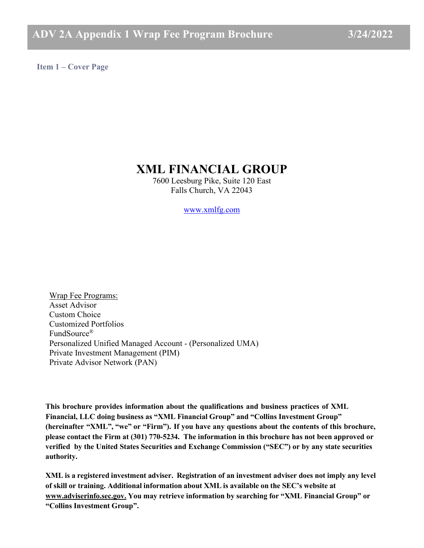<span id="page-0-0"></span>**Item 1 – Cover Page**

# **XML FINANCIAL GROUP**

7600 Leesburg Pike, Suite 120 East Falls Church, VA 22043

[www.xmlfg.com](https://www.xmlfg.com/)

Wrap Fee Programs: Asset Advisor Custom Choice Customized Portfolios FundSource® Personalized Unified Managed Account - (Personalized UMA) Private Investment Management (PIM) Private Advisor Network (PAN)

**This brochure provides information about the qualifications and business practices of XML Financial, LLC doing business as "XML Financial Group" and "Collins Investment Group" (hereinafter "XML", "we" or "Firm"). If you have any questions about the contents of this brochure, please contact the Firm at (301) 770-5234. The information in this brochure has not been approved or verified by the United States Securities and Exchange Commission ("SEC") or by any state securities authority.**

**XML is a registered investment adviser. Registration of an investment adviser does not imply any level of skill or training. Additional information about XML is available on the SEC's website at [www.adviserinfo.sec.gov.](http://www.adviserinfo.sec.gov./) You may retrieve information by searching for "XML Financial Group" or "Collins Investment Group".**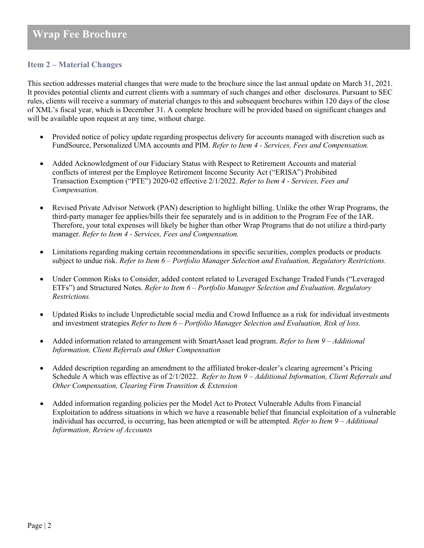# **Item 2 – Material Changes**

This section addresses material changes that were made to the brochure since the last annual update on March 31, 2021. It provides potential clients and current clients with a summary of such changes and other disclosures. Pursuant to SEC rules, clients will receive a summary of material changes to this and subsequent brochures within 120 days of the close of XML's fiscal year, which is December 31. A complete brochure will be provided based on significant changes and will be available upon request at any time, without charge.

- Provided notice of policy update regarding prospectus delivery for accounts managed with discretion such as FundSource, Personalized UMA accounts and PIM. *Refer to Item 4 - Services, Fees and Compensation.*
- Added Acknowledgment of our Fiduciary Status with Respect to Retirement Accounts and material conflicts of interest per the Employee Retirement Income Security Act ("ERISA") Prohibited Transaction Exemption ("PTE") 2020-02 effective 2/1/2022. *Refer to Item 4 - Services, Fees and Compensation.*
- Revised Private Advisor Network (PAN) description to highlight billing. Unlike the other Wrap Programs, the third-party manager fee applies/bills their fee separately and is in addition to the Program Fee of the IAR. Therefore, your total expenses will likely be higher than other Wrap Programs that do not utilize a third-party manager. *Refer to Item 4 - Services, Fees and Compensation.*
- Limitations regarding making certain recommendations in specific securities, complex products or products subject to undue risk. *Refer to Item 6 – Portfolio Manager Selection and Evaluation, Regulatory Restrictions.*
- Under Common Risks to Consider, added content related to Leveraged Exchange Traded Funds ("Leveraged ETFs") and Structured Notes. *Refer to Item 6 – Portfolio Manager Selection and Evaluation, Regulatory Restrictions.*
- Updated Risks to include Unpredictable social media and Crowd Influence as a risk for individual investments and investment strategies *Refer to Item 6 – Portfolio Manager Selection and Evaluation, Risk of loss.*
- Added information related to arrangement with SmartAsset lead program. *Refer to Item 9 – Additional Information, Client Referrals and Other Compensation*
- Added description regarding an amendment to the affiliated broker-dealer's clearing agreement's Pricing Schedule A which was effective as of 2/1/2022. *Refer to Item 9 – Additional Information, Client Referrals and Other Compensation, Clearing Firm Transition & Extension*
- Added information regarding policies per the Model Act to Protect Vulnerable Adults from Financial Exploitation to address situations in which we have a reasonable belief that financial exploitation of a vulnerable individual has occurred, is occurring, has been attempted or will be attempted*. Refer to Item 9 – Additional Information, Review of Accounts*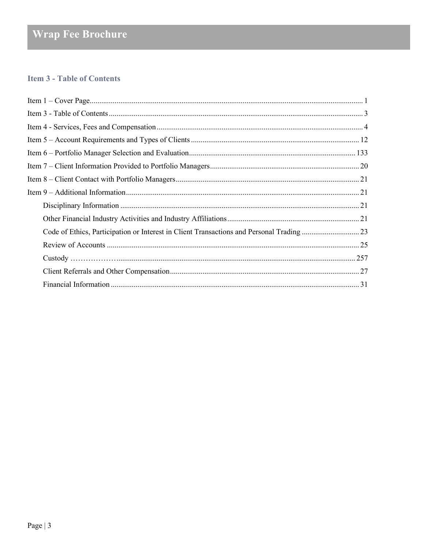# <span id="page-2-0"></span>**Item 3 - Table of Contents**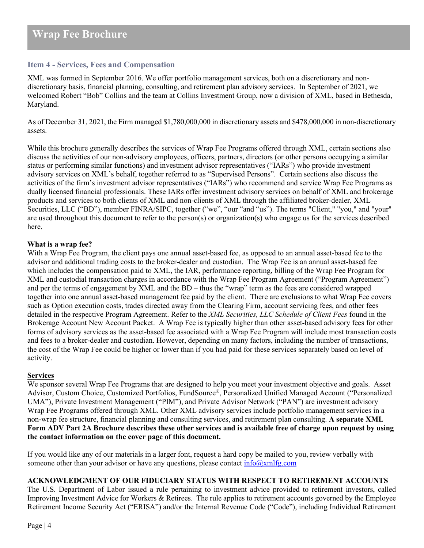# <span id="page-3-0"></span>**Item 4 - Services, Fees and Compensation**

XML was formed in September 2016. We offer portfolio management services, both on a discretionary and nondiscretionary basis, financial planning, consulting, and retirement plan advisory services. In September of 2021, we welcomed Robert "Bob" Collins and the team at Collins Investment Group, now a division of XML, based in Bethesda, Maryland.

As of December 31, 2021, the Firm managed \$1,780,000,000 in discretionary assets and \$478,000,000 in non-discretionary assets.

While this brochure generally describes the services of Wrap Fee Programs offered through XML, certain sections also discuss the activities of our non-advisory employees, officers, partners, directors (or other persons occupying a similar status or performing similar functions) and investment advisor representatives ("IARs") who provide investment advisory services on XML's behalf, together referred to as "Supervised Persons". Certain sections also discuss the activities of the firm's investment advisor representatives ("IARs") who recommend and service Wrap Fee Programs as dually licensed financial professionals. These IARs offer investment advisory services on behalf of XML and brokerage products and services to both clients of XML and non-clients of XML through the affiliated broker-dealer, XML Securities, LLC ("BD"), member FINRA/SIPC, together ("we", "our "and "us"). The terms "Client," "you," and "your" are used throughout this document to refer to the person(s) or organization(s) who engage us for the services described here.

#### **What is a wrap fee?**

With a Wrap Fee Program, the client pays one annual asset-based fee, as opposed to an annual asset-based fee to the advisor and additional trading costs to the broker-dealer and custodian. The Wrap Fee is an annual asset-based fee which includes the compensation paid to XML, the IAR, performance reporting, billing of the Wrap Fee Program for XML and custodial transaction charges in accordance with the Wrap Fee Program Agreement ("Program Agreement") and per the terms of engagement by XML and the BD – thus the "wrap" term as the fees are considered wrapped together into one annual asset-based management fee paid by the client. There are exclusions to what Wrap Fee covers such as Option execution costs, trades directed away from the Clearing Firm, account servicing fees, and other fees detailed in the respective Program Agreement. Refer to the *XML Securities, LLC Schedule of Client Fees* found in the Brokerage Account New Account Packet. A Wrap Fee is typically higher than other asset-based advisory fees for other forms of advisory services as the asset-based fee associated with a Wrap Fee Program will include most transaction costs and fees to a broker-dealer and custodian. However, depending on many factors, including the number of transactions, the cost of the Wrap Fee could be higher or lower than if you had paid for these services separately based on level of activity.

# **Services**

We sponsor several Wrap Fee Programs that are designed to help you meet your investment objective and goals. Asset Advisor, Custom Choice, Customized Portfolios, FundSource®, Personalized Unified Managed Account ("Personalized UMA"), Private Investment Management ("PIM"), and Private Advisor Network ("PAN") are investment advisory Wrap Fee Programs offered through XML. Other XML advisory services include portfolio management services in a non-wrap fee structure, financial planning and consulting services, and retirement plan consulting. **A separate XML Form ADV Part 2A Brochure describes these other services and is available free of charge upon request by using the contact information on the cover page of this document.**

If you would like any of our materials in a larger font, request a hard copy be mailed to you, review verbally with someone other than your advisor or have any questions, please contact  $\frac{info(\partial xm)fg.com}{info(\partial xm)fg.com}$ 

### **ACKNOWLEDGMENT OF OUR FIDUCIARY STATUS WITH RESPECT TO RETIREMENT ACCOUNTS**

The U.S. Department of Labor issued a rule pertaining to investment advice provided to retirement investors, called Improving Investment Advice for Workers & Retirees. The rule applies to retirement accounts governed by the Employee Retirement Income Security Act ("ERISA") and/or the Internal Revenue Code ("Code"), including Individual Retirement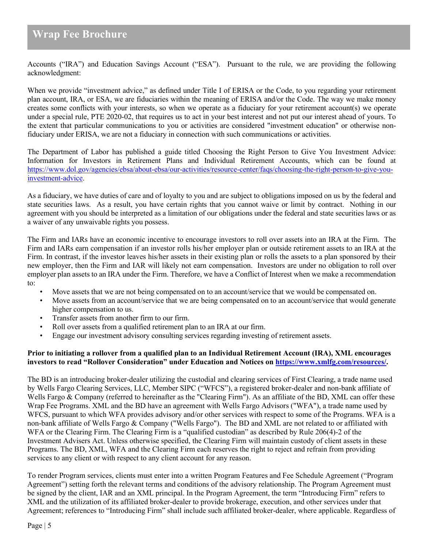Accounts ("IRA") and Education Savings Account ("ESA"). Pursuant to the rule, we are providing the following acknowledgment:

When we provide "investment advice," as defined under Title I of ERISA or the Code, to you regarding your retirement plan account, IRA, or ESA, we are fiduciaries within the meaning of ERISA and/or the Code. The way we make money creates some conflicts with your interests, so when we operate as a fiduciary for your retirement account(s) we operate under a special rule, PTE 2020-02, that requires us to act in your best interest and not put our interest ahead of yours. To the extent that particular communications to you or activities are considered "investment education" or otherwise nonfiduciary under ERISA, we are not a fiduciary in connection with such communications or activities.

The Department of Labor has published a guide titled Choosing the Right Person to Give You Investment Advice: Information for Investors in Retirement Plans and Individual Retirement Accounts, which can be found at [https://www.dol.gov/agencies/ebsa/about-ebsa/our-activities/resource-center/faqs/choosing-the-right-person-to-give-you](https://www.dol.gov/agencies/ebsa/about-ebsa/our-activities/resource-center/faqs/choosing-the-right-person-to-give-you-investment-advice)[investment-advice.](https://www.dol.gov/agencies/ebsa/about-ebsa/our-activities/resource-center/faqs/choosing-the-right-person-to-give-you-investment-advice)

As a fiduciary, we have duties of care and of loyalty to you and are subject to obligations imposed on us by the federal and state securities laws. As a result, you have certain rights that you cannot waive or limit by contract. Nothing in our agreement with you should be interpreted as a limitation of our obligations under the federal and state securities laws or as a waiver of any unwaivable rights you possess.

The Firm and IARs have an economic incentive to encourage investors to roll over assets into an IRA at the Firm. The Firm and IARs earn compensation if an investor rolls his/her employer plan or outside retirement assets to an IRA at the Firm. In contrast, if the investor leaves his/her assets in their existing plan or rolls the assets to a plan sponsored by their new employer, then the Firm and IAR will likely not earn compensation. Investors are under no obligation to roll over employer plan assets to an IRA under the Firm. Therefore, we have a Conflict of Interest when we make a recommendation to:

- Move assets that we are not being compensated on to an account/service that we would be compensated on.
- Move assets from an account/service that we are being compensated on to an account/service that would generate higher compensation to us.
- Transfer assets from another firm to our firm.
- Roll over assets from a qualified retirement plan to an IRA at our firm.
- Engage our investment advisory consulting services regarding investing of retirement assets.

#### **Prior to initiating a rollover from a qualified plan to an Individual Retirement Account (IRA), XML encourages investors to read "Rollover Consideration" under Education and Notices o[n https://www.xmlfg.com/resources/.](https://www.xmlfg.com/resources/)**

The BD is an introducing broker-dealer utilizing the custodial and clearing services of First Clearing, a trade name used by Wells Fargo Clearing Services, LLC, Member SIPC ("WFCS"), a registered broker-dealer and non-bank affiliate of Wells Fargo & Company (referred to hereinafter as the "Clearing Firm"). As an affiliate of the BD, XML can offer these Wrap Fee Programs. XML and the BD have an agreement with Wells Fargo Advisors ("WFA"), a trade name used by WFCS, pursuant to which WFA provides advisory and/or other services with respect to some of the Programs. WFA is a non-bank affiliate of Wells Fargo & Company ("Wells Fargo"). The BD and XML are not related to or affiliated with WFA or the Clearing Firm. The Clearing Firm is a "qualified custodian" as described by Rule 206(4)-2 of the Investment Advisers Act. Unless otherwise specified, the Clearing Firm will maintain custody of client assets in these Programs. The BD, XML, WFA and the Clearing Firm each reserves the right to reject and refrain from providing services to any client or with respect to any client account for any reason.

To render Program services, clients must enter into a written Program Features and Fee Schedule Agreement ("Program Agreement") setting forth the relevant terms and conditions of the advisory relationship. The Program Agreement must be signed by the client, IAR and an XML principal. In the Program Agreement, the term "Introducing Firm" refers to XML and the utilization of its affiliated broker-dealer to provide brokerage, execution, and other services under that Agreement; references to "Introducing Firm" shall include such affiliated broker-dealer, where applicable. Regardless of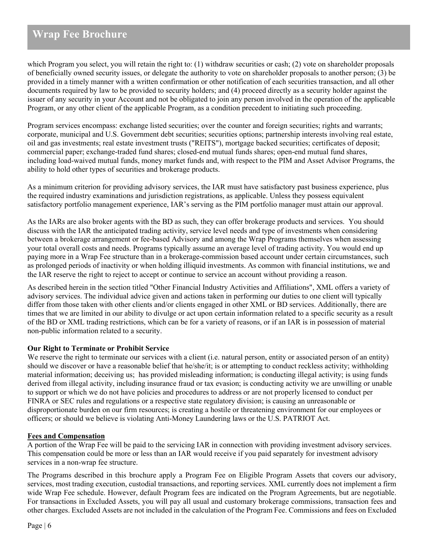which Program you select, you will retain the right to: (1) withdraw securities or cash; (2) vote on shareholder proposals of beneficially owned security issues, or delegate the authority to vote on shareholder proposals to another person; (3) be provided in a timely manner with a written confirmation or other notification of each securities transaction, and all other documents required by law to be provided to security holders; and (4) proceed directly as a security holder against the issuer of any security in your Account and not be obligated to join any person involved in the operation of the applicable Program, or any other client of the applicable Program, as a condition precedent to initiating such proceeding.

Program services encompass: exchange listed securities; over the counter and foreign securities; rights and warrants; corporate, municipal and U.S. Government debt securities; securities options; partnership interests involving real estate, oil and gas investments; real estate investment trusts ("REITS"), mortgage backed securities; certificates of deposit; commercial paper; exchange-traded fund shares; closed-end mutual funds shares; open-end mutual fund shares, including load-waived mutual funds, money market funds and, with respect to the PIM and Asset Advisor Programs, the ability to hold other types of securities and brokerage products.

As a minimum criterion for providing advisory services, the IAR must have satisfactory past business experience, plus the required industry examinations and jurisdiction registrations, as applicable. Unless they possess equivalent satisfactory portfolio management experience, IAR's serving as the PIM portfolio manager must attain our approval.

As the IARs are also broker agents with the BD as such, they can offer brokerage products and services. You should discuss with the IAR the anticipated trading activity, service level needs and type of investments when considering between a brokerage arrangement or fee-based Advisory and among the Wrap Programs themselves when assessing your total overall costs and needs. Programs typically assume an average level of trading activity. You would end up paying more in a Wrap Fee structure than in a brokerage-commission based account under certain circumstances, such as prolonged periods of inactivity or when holding illiquid investments. As common with financial institutions, we and the IAR reserve the right to reject to accept or continue to service an account without providing a reason.

As described herein in the section titled "Other Financial Industry Activities and Affiliations", XML offers a variety of advisory services. The individual advice given and actions taken in performing our duties to one client will typically differ from those taken with other clients and/or clients engaged in other XML or BD services. Additionally, there are times that we are limited in our ability to divulge or act upon certain information related to a specific security as a result of the BD or XML trading restrictions, which can be for a variety of reasons, or if an IAR is in possession of material non-public information related to a security.

# **Our Right to Terminate or Prohibit Service**

We reserve the right to terminate our services with a client (i.e. natural person, entity or associated person of an entity) should we discover or have a reasonable belief that he/she/it; is or attempting to conduct reckless activity; withholding material information; deceiving us; has provided misleading information; is conducting illegal activity; is using funds derived from illegal activity, including insurance fraud or tax evasion; is conducting activity we are unwilling or unable to support or which we do not have policies and procedures to address or are not properly licensed to conduct per FINRA or SEC rules and regulations or a respective state regulatory division; is causing an unreasonable or disproportionate burden on our firm resources; is creating a hostile or threatening environment for our employees or officers; or should we believe is violating Anti-Money Laundering laws or the U.S. PATRIOT Act.

#### **Fees and Compensation**

A portion of the Wrap Fee will be paid to the servicing IAR in connection with providing investment advisory services. This compensation could be more or less than an IAR would receive if you paid separately for investment advisory services in a non-wrap fee structure.

The Programs described in this brochure apply a Program Fee on Eligible Program Assets that covers our advisory, services, most trading execution, custodial transactions, and reporting services. XML currently does not implement a firm wide Wrap Fee schedule. However, default Program fees are indicated on the Program Agreements, but are negotiable. For transactions in Excluded Assets, you will pay all usual and customary brokerage commissions, transaction fees and other charges. Excluded Assets are not included in the calculation of the Program Fee. Commissions and fees on Excluded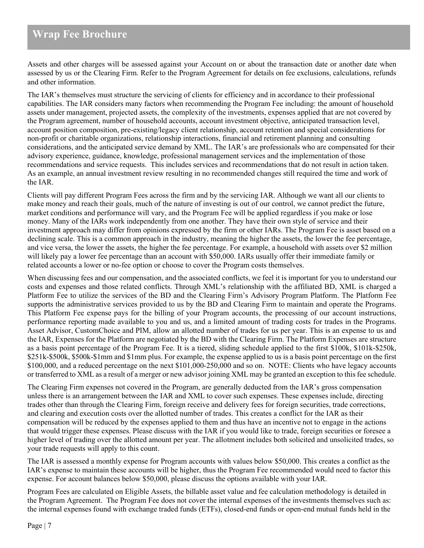Assets and other charges will be assessed against your Account on or about the transaction date or another date when assessed by us or the Clearing Firm. Refer to the Program Agreement for details on fee exclusions, calculations, refunds and other information.

The IAR's themselves must structure the servicing of clients for efficiency and in accordance to their professional capabilities. The IAR considers many factors when recommending the Program Fee including: the amount of household assets under management, projected assets, the complexity of the investments, expenses applied that are not covered by the Program agreement, number of household accounts, account investment objective, anticipated transaction level, account position composition, pre-existing/legacy client relationship, account retention and special considerations for non-profit or charitable organizations, relationship interactions, financial and retirement planning and consulting considerations, and the anticipated service demand by XML. The IAR's are professionals who are compensated for their advisory experience, guidance, knowledge, professional management services and the implementation of those recommendations and service requests. This includes services and recommendations that do not result in action taken. As an example, an annual investment review resulting in no recommended changes still required the time and work of the IAR.

Clients will pay different Program Fees across the firm and by the servicing IAR. Although we want all our clients to make money and reach their goals, much of the nature of investing is out of our control, we cannot predict the future, market conditions and performance will vary, and the Program Fee will be applied regardless if you make or lose money. Many of the IARs work independently from one another. They have their own style of service and their investment approach may differ from opinions expressed by the firm or other IARs. The Program Fee is asset based on a declining scale. This is a common approach in the industry, meaning the higher the assets, the lower the fee percentage, and vice versa, the lower the assets, the higher the fee percentage. For example, a household with assets over \$2 million will likely pay a lower fee percentage than an account with \$50,000. IARs usually offer their immediate family or related accounts a lower or no-fee option or choose to cover the Program costs themselves.

When discussing fees and our compensation, and the associated conflicts, we feel it is important for you to understand our costs and expenses and those related conflicts. Through XML's relationship with the affiliated BD, XML is charged a Platform Fee to utilize the services of the BD and the Clearing Firm's Advisory Program Platform. The Platform Fee supports the administrative services provided to us by the BD and Clearing Firm to maintain and operate the Programs. This Platform Fee expense pays for the billing of your Program accounts, the processing of our account instructions, performance reporting made available to you and us, and a limited amount of trading costs for trades in the Programs. Asset Advisor, CustomChoice and PIM, allow an allotted number of trades for us per year. This is an expense to us and the IAR, Expenses for the Platform are negotiated by the BD with the Clearing Firm. The Platform Expenses are structure as a basis point percentage of the Program Fee. It is a tiered, sliding schedule applied to the first \$100k, \$101k-\$250k, \$251k-\$500k, \$500k-\$1mm and \$1mm plus. For example, the expense applied to us is a basis point percentage on the first \$100,000, and a reduced percentage on the next \$101,000-250,000 and so on. NOTE: Clients who have legacy accounts or transferred to XML as a result of a merger or new advisor joining XML may be granted an exception to thisfee schedule.

The Clearing Firm expenses not covered in the Program, are generally deducted from the IAR's gross compensation unless there is an arrangement between the IAR and XML to cover such expenses. These expenses include, directing trades other than through the Clearing Firm, foreign receive and delivery fees for foreign securities, trade corrections, and clearing and execution costs over the allotted number of trades. This creates a conflict for the IAR as their compensation will be reduced by the expenses applied to them and thus have an incentive not to engage in the actions that would trigger these expenses. Please discuss with the IAR if you would like to trade, foreign securities or foresee a higher level of trading over the allotted amount per year. The allotment includes both solicited and unsolicited trades, so your trade requests will apply to this count.

The IAR is assessed a monthly expense for Program accounts with values below \$50,000. This creates a conflict as the IAR's expense to maintain these accounts will be higher, thus the Program Fee recommended would need to factor this expense. For account balances below \$50,000, please discuss the options available with your IAR.

Program Fees are calculated on Eligible Assets, the billable asset value and fee calculation methodology is detailed in the Program Agreement. The Program Fee does not cover the internal expenses of the investments themselves such as: the internal expenses found with exchange traded funds (ETFs), closed-end funds or open-end mutual funds held in the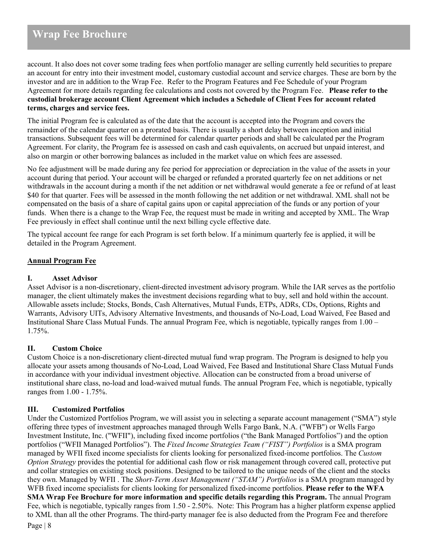account. It also does not cover some trading fees when portfolio manager are selling currently held securities to prepare an account for entry into their investment model, customary custodial account and service charges. These are born by the investor and are in addition to the Wrap Fee. Refer to the Program Features and Fee Schedule of your Program Agreement for more details regarding fee calculations and costs not covered by the Program Fee. **Please refer to the custodial brokerage account Client Agreement which includes a Schedule of Client Fees for account related terms, charges and service fees.**

The initial Program fee is calculated as of the date that the account is accepted into the Program and covers the remainder of the calendar quarter on a prorated basis. There is usually a short delay between inception and initial transactions. Subsequent fees will be determined for calendar quarter periods and shall be calculated per the Program Agreement. For clarity, the Program fee is assessed on cash and cash equivalents, on accrued but unpaid interest, and also on margin or other borrowing balances as included in the market value on which fees are assessed.

No fee adjustment will be made during any fee period for appreciation or depreciation in the value of the assets in your account during that period. Your account will be charged or refunded a prorated quarterly fee on net additions or net withdrawals in the account during a month if the net addition or net withdrawal would generate a fee or refund of at least \$40 for that quarter. Fees will be assessed in the month following the net addition or net withdrawal. XML shall not be compensated on the basis of a share of capital gains upon or capital appreciation of the funds or any portion of your funds. When there is a change to the Wrap Fee, the request must be made in writing and accepted by XML. The Wrap Fee previously in effect shall continue until the next billing cycle effective date.

The typical account fee range for each Program is set forth below. If a minimum quarterly fee is applied, it will be detailed in the Program Agreement.

# **Annual Program Fee**

# **I. Asset Advisor**

Asset Advisor is a non-discretionary, client-directed investment advisory program. While the IAR serves as the portfolio manager, the client ultimately makes the investment decisions regarding what to buy, sell and hold within the account. Allowable assets include; Stocks, Bonds, Cash Alternatives, Mutual Funds, ETPs, ADRs, CDs, Options, Rights and Warrants, Advisory UITs, Advisory Alternative Investments, and thousands of No-Load, Load Waived, Fee Based and Institutional Share Class Mutual Funds. The annual Program Fee, which is negotiable, typically ranges from 1.00 – 1.75%.

# **II. Custom Choice**

Custom Choice is a non-discretionary client-directed mutual fund wrap program. The Program is designed to help you allocate your assets among thousands of No-Load, Load Waived, Fee Based and Institutional Share Class Mutual Funds in accordance with your individual investment objective. Allocation can be constructed from a broad universe of institutional share class, no-load and load-waived mutual funds. The annual Program Fee, which is negotiable, typically ranges from 1.00 - 1.75%.

# **III. Customized Portfolios**

Under the Customized Portfolios Program, we will assist you in selecting a separate account management ("SMA") style offering three types of investment approaches managed through Wells Fargo Bank, N.A. ("WFB") or Wells Fargo Investment Institute, Inc. ("WFII"), including fixed income portfolios ("the Bank Managed Portfolios") and the option portfolios ("WFII Managed Portfolios"). The *Fixed Income Strategies Team ("FIST") Portfolios* is a SMA program managed by WFII fixed income specialists for clients looking for personalized fixed-income portfolios. The *Custom Option Strategy* provides the potential for additional cash flow or risk management through covered call, protective put and collar strategies on existing stock positions. Designed to be tailored to the unique needs of the client and the stocks they own. Managed by WFII . The *Short-Term Asset Management ("STAM") Portfolios* is a SMA program managed by WFB fixed income specialists for clients looking for personalized fixed-income portfolios. **Please refer to the WFA SMA Wrap Fee Brochure for more information and specific details regarding this Program.** The annual Program Fee, which is negotiable, typically ranges from 1.50 - 2.50%. Note: This Program has a higher platform expense applied to XML than all the other Programs. The third-party manager fee is also deducted from the Program Fee and therefore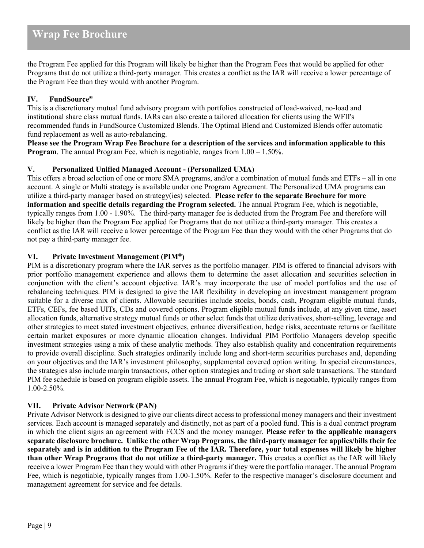the Program Fee applied for this Program will likely be higher than the Program Fees that would be applied for other Programs that do not utilize a third-party manager. This creates a conflict as the IAR will receive a lower percentage of the Program Fee than they would with another Program.

# **IV. FundSource®**

This is a discretionary mutual fund advisory program with portfolios constructed of load-waived, no-load and institutional share class mutual funds. IARs can also create a tailored allocation for clients using the WFII's recommended funds in FundSource Customized Blends. The Optimal Blend and Customized Blends offer automatic fund replacement as well as auto-rebalancing.

**Please see the Program Wrap Fee Brochure for a description of the services and information applicable to this Program**. The annual Program Fee, which is negotiable, ranges from  $1.00 - 1.50\%$ .

### **V. Personalized Unified Managed Account - (Personalized UMA**)

This offers a broad selection of one or more SMA programs, and/or a combination of mutual funds and ETFs – all in one account. A single or Multi strategy is available under one Program Agreement. The Personalized UMA programs can utilize a third-party manager based on strategy(ies) selected. **Please refer to the separate Brochure for more information and specific details regarding the Program selected.** The annual Program Fee, which is negotiable, typically ranges from 1.00 - 1.90%. The third-party manager fee is deducted from the Program Fee and therefore will likely be higher than the Program Fee applied for Programs that do not utilize a third-party manager. This creates a conflict as the IAR will receive a lower percentage of the Program Fee than they would with the other Programs that do not pay a third-party manager fee.

# **VI. Private Investment Management (PIM®)**

PIM is a discretionary program where the IAR serves as the portfolio manager. PIM is offered to financial advisors with prior portfolio management experience and allows them to determine the asset allocation and securities selection in conjunction with the client's account objective. IAR's may incorporate the use of model portfolios and the use of rebalancing techniques. PIM is designed to give the IAR flexibility in developing an investment management program suitable for a diverse mix of clients. Allowable securities include stocks, bonds, cash, Program eligible mutual funds, ETFs, CEFs, fee based UITs, CDs and covered options. Program eligible mutual funds include, at any given time, asset allocation funds, alternative strategy mutual funds or other select funds that utilize derivatives, short-selling, leverage and other strategies to meet stated investment objectives, enhance diversification, hedge risks, accentuate returns or facilitate certain market exposures or more dynamic allocation changes. Individual PIM Portfolio Managers develop specific investment strategies using a mix of these analytic methods. They also establish quality and concentration requirements to provide overall discipline. Such strategies ordinarily include long and short-term securities purchases and, depending on your objectives and the IAR's investment philosophy, supplemental covered option writing. In special circumstances, the strategies also include margin transactions, other option strategies and trading or short sale transactions. The standard PIM fee schedule is based on program eligible assets. The annual Program Fee, which is negotiable, typically ranges from 1.00-2.50%.

# **VII. Private Advisor Network (PAN)**

Private Advisor Network is designed to give our clients direct access to professional money managers and their investment services. Each account is managed separately and distinctly, not as part of a pooled fund. This is a dual contract program in which the client signs an agreement with FCCS and the money manager. **Please refer to the applicable managers separate disclosure brochure. Unlike the other Wrap Programs, the third-party manager fee applies/bills their fee separately and is in addition to the Program Fee of the IAR. Therefore, your total expenses will likely be higher than other Wrap Programs that do not utilize a third-party manager.** This creates a conflict as the IAR will likely receive a lower Program Fee than they would with other Programs if they were the portfolio manager. The annual Program Fee, which is negotiable, typically ranges from 1.00-1.50%. Refer to the respective manager's disclosure document and management agreement for service and fee details.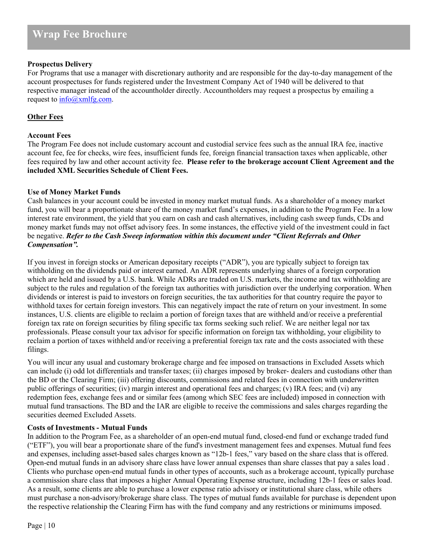### **Prospectus Delivery**

For Programs that use a manager with discretionary authority and are responsible for the day-to-day management of the account prospectuses for funds registered under the Investment Company Act of 1940 will be delivered to that respective manager instead of the accountholder directly. Accountholders may request a prospectus by emailing a request to  $\frac{\inf(0, \text{cm})}{\inf(0, \text{cm})}$ .

### **Other Fees**

#### **Account Fees**

The Program Fee does not include customary account and custodial service fees such as the annual IRA fee, inactive account fee, fee for checks, wire fees, insufficient funds fee, foreign financial transaction taxes when applicable, other fees required by law and other account activity fee. **Please refer to the brokerage account Client Agreement and the included XML Securities Schedule of Client Fees.**

#### **Use of Money Market Funds**

Cash balances in your account could be invested in money market mutual funds. As a shareholder of a money market fund, you will bear a proportionate share of the money market fund's expenses, in addition to the Program Fee. In a low interest rate environment, the yield that you earn on cash and cash alternatives, including cash sweep funds, CDs and money market funds may not offset advisory fees. In some instances, the effective yield of the investment could in fact be negative. *Refer to the Cash Sweep information within this document under "Client Referrals and Other Compensation".*

If you invest in foreign stocks or American depositary receipts ("ADR"), you are typically subject to foreign tax withholding on the dividends paid or interest earned. An ADR represents underlying shares of a foreign corporation which are held and issued by a U.S. bank. While ADRs are traded on U.S. markets, the income and tax withholding are subject to the rules and regulation of the foreign tax authorities with jurisdiction over the underlying corporation. When dividends or interest is paid to investors on foreign securities, the tax authorities for that country require the payor to withhold taxes for certain foreign investors. This can negatively impact the rate of return on your investment. In some instances, U.S. clients are eligible to reclaim a portion of foreign taxes that are withheld and/or receive a preferential foreign tax rate on foreign securities by filing specific tax forms seeking such relief. We are neither legal nor tax professionals. Please consult your tax advisor for specific information on foreign tax withholding, your eligibility to reclaim a portion of taxes withheld and/or receiving a preferential foreign tax rate and the costs associated with these filings.

You will incur any usual and customary brokerage charge and fee imposed on transactions in Excluded Assets which can include (i) odd lot differentials and transfer taxes; (ii) charges imposed by broker- dealers and custodians other than the BD or the Clearing Firm; (iii) offering discounts, commissions and related fees in connection with underwritten public offerings of securities; (iv) margin interest and operational fees and charges; (v) IRA fees; and (vi) any redemption fees, exchange fees and or similar fees (among which SEC fees are included) imposed in connection with mutual fund transactions. The BD and the IAR are eligible to receive the commissions and sales charges regarding the securities deemed Excluded Assets.

#### **Costs of Investments - Mutual Funds**

In addition to the Program Fee, as a shareholder of an open-end mutual fund, closed-end fund or exchange traded fund ("ETF"), you will bear a proportionate share of the fund's investment management fees and expenses. Mutual fund fees and expenses, including asset-based sales charges known as "12b-1 fees," vary based on the share class that is offered. Open-end mutual funds in an advisory share class have lower annual expenses than share classes that pay a sales load . Clients who purchase open-end mutual funds in other types of accounts, such as a brokerage account, typically purchase a commission share class that imposes a higher Annual Operating Expense structure, including 12b-1 fees or sales load. As a result, some clients are able to purchase a lower expense ratio advisory or institutional share class, while others must purchase a non-advisory/brokerage share class. The types of mutual funds available for purchase is dependent upon the respective relationship the Clearing Firm has with the fund company and any restrictions or minimums imposed.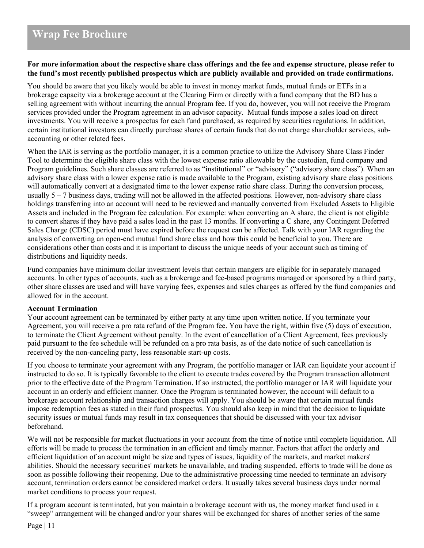#### **For more information about the respective share class offerings and the fee and expense structure, please refer to the fund's most recently published prospectus which are publicly available and provided on trade confirmations.**

You should be aware that you likely would be able to invest in money market funds, mutual funds or ETFs in a brokerage capacity via a brokerage account at the Clearing Firm or directly with a fund company that the BD has a selling agreement with without incurring the annual Program fee. If you do, however, you will not receive the Program services provided under the Program agreement in an advisor capacity. Mutual funds impose a sales load on direct investments. You will receive a prospectus for each fund purchased, as required by securities regulations. In addition, certain institutional investors can directly purchase shares of certain funds that do not charge shareholder services, subaccounting or other related fees.

When the IAR is serving as the portfolio manager, it is a common practice to utilize the Advisory Share Class Finder Tool to determine the eligible share class with the lowest expense ratio allowable by the custodian, fund company and Program guidelines. Such share classes are referred to as "institutional" or "advisory" ("advisory share class"). When an advisory share class with a lower expense ratio is made available to the Program, existing advisory share class positions will automatically convert at a designated time to the lower expense ratio share class. During the conversion process, usually  $5 - 7$  business days, trading will not be allowed in the affected positions. However, non-advisory share class holdings transferring into an account will need to be reviewed and manually converted from Excluded Assets to Eligible Assets and included in the Program fee calculation. For example: when converting an A share, the client is not eligible to convert shares if they have paid a sales load in the past 13 months. If converting a C share, any Contingent Deferred Sales Charge (CDSC) period must have expired before the request can be affected. Talk with your IAR regarding the analysis of converting an open-end mutual fund share class and how this could be beneficial to you. There are considerations other than costs and it is important to discuss the unique needs of your account such as timing of distributions and liquidity needs.

Fund companies have minimum dollar investment levels that certain mangers are eligible for in separately managed accounts. In other types of accounts, such as a brokerage and fee-based programs managed or sponsored by a third party, other share classes are used and will have varying fees, expenses and sales charges as offered by the fund companies and allowed for in the account.

#### **Account Termination**

Your account agreement can be terminated by either party at any time upon written notice. If you terminate your Agreement, you will receive a pro rata refund of the Program fee. You have the right, within five (5) days of execution, to terminate the Client Agreement without penalty. In the event of cancellation of a Client Agreement, fees previously paid pursuant to the fee schedule will be refunded on a pro rata basis, as of the date notice of such cancellation is received by the non-canceling party, less reasonable start-up costs.

If you choose to terminate your agreement with any Program, the portfolio manager or IAR can liquidate your account if instructed to do so. It is typically favorable to the client to execute trades covered by the Program transaction allotment prior to the effective date of the Program Termination. If so instructed, the portfolio manager or IAR will liquidate your account in an orderly and efficient manner. Once the Program is terminated however, the account will default to a brokerage account relationship and transaction charges will apply. You should be aware that certain mutual funds impose redemption fees as stated in their fund prospectus. You should also keep in mind that the decision to liquidate security issues or mutual funds may result in tax consequences that should be discussed with your tax advisor beforehand.

We will not be responsible for market fluctuations in your account from the time of notice until complete liquidation. All efforts will be made to process the termination in an efficient and timely manner. Factors that affect the orderly and efficient liquidation of an account might be size and types of issues, liquidity of the markets, and market makers' abilities. Should the necessary securities' markets be unavailable, and trading suspended, efforts to trade will be done as soon as possible following their reopening. Due to the administrative processing time needed to terminate an advisory account, termination orders cannot be considered market orders. It usually takes several business days under normal market conditions to process your request.

If a program account is terminated, but you maintain a brokerage account with us, the money market fund used in a "sweep" arrangement will be changed and/or your shares will be exchanged for shares of another series of the same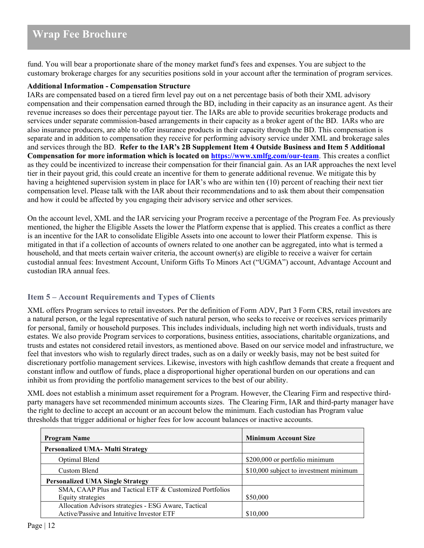fund. You will bear a proportionate share of the money market fund's fees and expenses. You are subject to the customary brokerage charges for any securities positions sold in your account after the termination of program services.

### **Additional Information - Compensation Structure**

IARs are compensated based on a tiered firm level pay out on a net percentage basis of both their XML advisory compensation and their compensation earned through the BD, including in their capacity as an insurance agent. As their revenue increases so does their percentage payout tier. The IARs are able to provide securities brokerage products and services under separate commission-based arrangements in their capacity as a broker agent of the BD. IARs who are also insurance producers, are able to offer insurance products in their capacity through the BD. This compensation is separate and in addition to compensation they receive for performing advisory service under XML and brokerage sales and services through the BD. **Refer to the IAR's 2B Supplement Item 4 Outside Business and Item 5 Additional Compensation for more information which is located on<https://www.xmlfg.com/our-team>**. This creates a conflict as they could be incentivized to increase their compensation for their financial gain. As an IAR approaches the next level tier in their payout grid, this could create an incentive for them to generate additional revenue. We mitigate this by having a heightened supervision system in place for IAR's who are within ten (10) percent of reaching their next tier compensation level. Please talk with the IAR about their recommendations and to ask them about their compensation and how it could be affected by you engaging their advisory service and other services.

On the account level, XML and the IAR servicing your Program receive a percentage of the Program Fee. As previously mentioned, the higher the Eligible Assets the lower the Platform expense that is applied. This creates a conflict as there is an incentive for the IAR to consolidate Eligible Assets into one account to lower their Platform expense. This is mitigated in that if a collection of accounts of owners related to one another can be aggregated, into what is termed a household, and that meets certain waiver criteria, the account owner(s) are eligible to receive a waiver for certain custodial annual fees: Investment Account, Uniform Gifts To Minors Act ("UGMA") account, Advantage Account and custodian IRA annual fees.

# <span id="page-11-0"></span>**Item 5 – Account Requirements and Types of Clients**

XML offers Program services to retail investors. Per the definition of Form ADV, Part 3 Form CRS, retail investors are a natural person, or the legal representative of such natural person, who seeks to receive or receives services primarily for personal, family or household purposes. This includes individuals, including high net worth individuals, trusts and estates. We also provide Program services to corporations, business entities, associations, charitable organizations, and trusts and estates not considered retail investors, as mentioned above. Based on our service model and infrastructure, we feel that investors who wish to regularly direct trades, such as on a daily or weekly basis, may not be best suited for discretionary portfolio management services. Likewise, investors with high cashflow demands that create a frequent and constant inflow and outflow of funds, place a disproportional higher operational burden on our operations and can inhibit us from providing the portfolio management services to the best of our ability.

XML does not establish a minimum asset requirement for a Program. However, the Clearing Firm and respective thirdparty managers have set recommended minimum accounts sizes. The Clearing Firm, IAR and third-party manager have the right to decline to accept an account or an account below the minimum. Each custodian has Program value thresholds that trigger additional or higher fees for low account balances or inactive accounts.

| <b>Program Name</b>                                     | <b>Minimum Account Size</b>            |
|---------------------------------------------------------|----------------------------------------|
| <b>Personalized UMA- Multi Strategy</b>                 |                                        |
| Optimal Blend                                           | \$200,000 or portfolio minimum         |
| Custom Blend                                            | \$10,000 subject to investment minimum |
| <b>Personalized UMA Single Strategy</b>                 |                                        |
| SMA, CAAP Plus and Tactical ETF & Customized Portfolios |                                        |
| Equity strategies                                       | \$50,000                               |
| Allocation Advisors strategies - ESG Aware, Tactical    |                                        |
| Active/Passive and Intuitive Investor ETF               | \$10,000                               |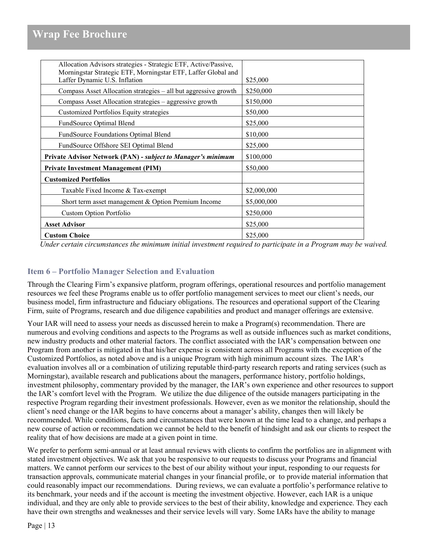| Allocation Advisors strategies - Strategic ETF, Active/Passive,<br>Morningstar Strategic ETF, Morningstar ETF, Laffer Global and |             |
|----------------------------------------------------------------------------------------------------------------------------------|-------------|
| Laffer Dynamic U.S. Inflation                                                                                                    | \$25,000    |
| Compass Asset Allocation strategies – all but aggressive growth                                                                  | \$250,000   |
| Compass Asset Allocation strategies – aggressive growth                                                                          | \$150,000   |
| <b>Customized Portfolios Equity strategies</b>                                                                                   | \$50,000    |
| FundSource Optimal Blend                                                                                                         | \$25,000    |
| FundSource Foundations Optimal Blend                                                                                             | \$10,000    |
| FundSource Offshore SEI Optimal Blend                                                                                            | \$25,000    |
| Private Advisor Network (PAN) - subject to Manager's minimum                                                                     | \$100,000   |
| <b>Private Investment Management (PIM)</b>                                                                                       | \$50,000    |
| <b>Customized Portfolios</b>                                                                                                     |             |
| Taxable Fixed Income & Tax-exempt                                                                                                | \$2,000,000 |
| Short term asset management & Option Premium Income                                                                              | \$5,000,000 |
| <b>Custom Option Portfolio</b>                                                                                                   | \$250,000   |
| <b>Asset Advisor</b>                                                                                                             | \$25,000    |
| <b>Custom Choice</b>                                                                                                             | \$25,000    |
|                                                                                                                                  |             |

*Under certain circumstances the minimum initial investment required to participate in a Program may be waived.*

# <span id="page-12-0"></span>**Item 6 – Portfolio Manager Selection and Evaluation**

Through the Clearing Firm's expansive platform, program offerings, operational resources and portfolio management resources we feel these Programs enable us to offer portfolio management services to meet our client's needs, our business model, firm infrastructure and fiduciary obligations. The resources and operational support of the Clearing Firm, suite of Programs, research and due diligence capabilities and product and manager offerings are extensive.

Your IAR will need to assess your needs as discussed herein to make a Program(s) recommendation. There are numerous and evolving conditions and aspects to the Programs as well as outside influences such as market conditions, new industry products and other material factors. The conflict associated with the IAR's compensation between one Program from another is mitigated in that his/her expense is consistent across all Programs with the exception of the Customized Portfolios, as noted above and is a unique Program with high minimum account sizes. The IAR's evaluation involves all or a combination of utilizing reputable third-party research reports and rating services (such as Morningstar), available research and publications about the managers, performance history, portfolio holdings, investment philosophy, commentary provided by the manager, the IAR's own experience and other resources to support the IAR's comfort level with the Program. We utilize the due diligence of the outside managers participating in the respective Program regarding their investment professionals. However, even as we monitor the relationship, should the client's need change or the IAR begins to have concerns about a manager's ability, changes then will likely be recommended. While conditions, facts and circumstances that were known at the time lead to a change, and perhaps a new course of action or recommendation we cannot be held to the benefit of hindsight and ask our clients to respect the reality that of how decisions are made at a given point in time.

We prefer to perform semi-annual or at least annual reviews with clients to confirm the portfolios are in alignment with stated investment objectives. We ask that you be responsive to our requests to discuss your Programs and financial matters. We cannot perform our services to the best of our ability without your input, responding to our requests for transaction approvals, communicate material changes in your financial profile, or to provide material information that could reasonably impact our recommendations. During reviews, we can evaluate a portfolio's performance relative to its benchmark, your needs and if the account is meeting the investment objective. However, each IAR is a unique individual, and they are only able to provide services to the best of their ability, knowledge and experience. They each have their own strengths and weaknesses and their service levels will vary. Some IARs have the ability to manage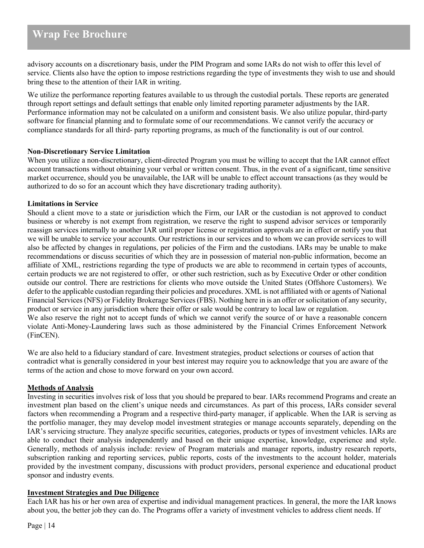advisory accounts on a discretionary basis, under the PIM Program and some IARs do not wish to offer this level of service. Clients also have the option to impose restrictions regarding the type of investments they wish to use and should bring these to the attention of their IAR in writing.

We utilize the performance reporting features available to us through the custodial portals. These reports are generated through report settings and default settings that enable only limited reporting parameter adjustments by the IAR. Performance information may not be calculated on a uniform and consistent basis. We also utilize popular, third-party software for financial planning and to formulate some of our recommendations. We cannot verify the accuracy or compliance standards for all third- party reporting programs, as much of the functionality is out of our control.

#### **Non-Discretionary Service Limitation**

When you utilize a non-discretionary, client-directed Program you must be willing to accept that the IAR cannot effect account transactions without obtaining your verbal or written consent. Thus, in the event of a significant, time sensitive market occurrence, should you be unavailable, the IAR will be unable to effect account transactions (as they would be authorized to do so for an account which they have discretionary trading authority).

### **Limitations in Service**

Should a client move to a state or jurisdiction which the Firm, our IAR or the custodian is not approved to conduct business or whereby is not exempt from registration, we reserve the right to suspend advisor services or temporarily reassign services internally to another IAR until proper license or registration approvals are in effect or notify you that we will be unable to service your accounts. Our restrictions in our services and to whom we can provide services to will also be affected by changes in regulations, per policies of the Firm and the custodians. IARs may be unable to make recommendations or discuss securities of which they are in possession of material non-public information, become an affiliate of XML, restrictions regarding the type of products we are able to recommend in certain types of accounts, certain products we are not registered to offer, or other such restriction, such as by Executive Order or other condition outside our control. There are restrictions for clients who move outside the United States (Offshore Customers). We defer to the applicable custodian regarding their policies and procedures. XML is not affiliated with or agents of National Financial Services (NFS) or Fidelity Brokerage Services (FBS). Nothing here in is an offer or solicitation of any security, product or service in any jurisdiction where their offer or sale would be contrary to local law or regulation. We also reserve the right not to accept funds of which we cannot verify the source of or have a reasonable concern violate Anti-Money-Laundering laws such as those administered by the Financial Crimes Enforcement Network (FinCEN).

We are also held to a fiduciary standard of care. Investment strategies, product selections or courses of action that contradict what is generally considered in your best interest may require you to acknowledge that you are aware of the terms of the action and chose to move forward on your own accord.

#### **Methods of Analysis**

Investing in securities involves risk of loss that you should be prepared to bear. IARs recommend Programs and create an investment plan based on the client's unique needs and circumstances. As part of this process, IARs consider several factors when recommending a Program and a respective third-party manager, if applicable. When the IAR is serving as the portfolio manager, they may develop model investment strategies or manage accounts separately, depending on the IAR's servicing structure. They analyze specific securities, categories, products or types of investment vehicles. IARs are able to conduct their analysis independently and based on their unique expertise, knowledge, experience and style. Generally, methods of analysis include: review of Program materials and manager reports, industry research reports, subscription ranking and reporting services, public reports, costs of the investments to the account holder, materials provided by the investment company, discussions with product providers, personal experience and educational product sponsor and industry events.

#### **Investment Strategies and Due Diligence**

Each IAR has his or her own area of expertise and individual management practices. In general, the more the IAR knows about you, the better job they can do. The Programs offer a variety of investment vehicles to address client needs. If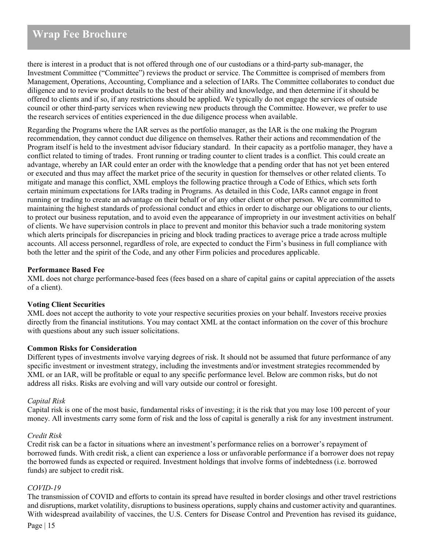there is interest in a product that is not offered through one of our custodians or a third-party sub-manager, the Investment Committee ("Committee") reviews the product or service. The Committee is comprised of members from Management, Operations, Accounting, Compliance and a selection of IARs. The Committee collaborates to conduct due diligence and to review product details to the best of their ability and knowledge, and then determine if it should be offered to clients and if so, if any restrictions should be applied. We typically do not engage the services of outside council or other third-party services when reviewing new products through the Committee. However, we prefer to use the research services of entities experienced in the due diligence process when available.

Regarding the Programs where the IAR serves as the portfolio manager, as the IAR is the one making the Program recommendation, they cannot conduct due diligence on themselves. Rather their actions and recommendation of the Program itself is held to the investment advisor fiduciary standard. In their capacity as a portfolio manager, they have a conflict related to timing of trades. Front running or trading counter to client trades is a conflict. This could create an advantage, whereby an IAR could enter an order with the knowledge that a pending order that has not yet been entered or executed and thus may affect the market price of the security in question for themselves or other related clients. To mitigate and manage this conflict, XML employs the following practice through a Code of Ethics, which sets forth certain minimum expectations for IARs trading in Programs. As detailed in this Code, IARs cannot engage in front running or trading to create an advantage on their behalf or of any other client or other person. We are committed to maintaining the highest standards of professional conduct and ethics in order to discharge our obligations to our clients, to protect our business reputation, and to avoid even the appearance of impropriety in our investment activities on behalf of clients. We have supervision controls in place to prevent and monitor this behavior such a trade monitoring system which alerts principals for discrepancies in pricing and block trading practices to average price a trade across multiple accounts. All access personnel, regardless of role, are expected to conduct the Firm's business in full compliance with both the letter and the spirit of the Code, and any other Firm policies and procedures applicable.

### **Performance Based Fee**

XML does not charge performance-based fees (fees based on a share of capital gains or capital appreciation of the assets of a client).

#### **Voting Client Securities**

XML does not accept the authority to vote your respective securities proxies on your behalf. Investors receive proxies directly from the financial institutions. You may contact XML at the contact information on the cover of this brochure with questions about any such issuer solicitations.

#### **Common Risks for Consideration**

Different types of investments involve varying degrees of risk. It should not be assumed that future performance of any specific investment or investment strategy, including the investments and/or investment strategies recommended by XML or an IAR, will be profitable or equal to any specific performance level. Below are common risks, but do not address all risks. Risks are evolving and will vary outside our control or foresight.

#### *Capital Risk*

Capital risk is one of the most basic, fundamental risks of investing; it is the risk that you may lose 100 percent of your money. All investments carry some form of risk and the loss of capital is generally a risk for any investment instrument.

#### *Credit Risk*

Credit risk can be a factor in situations where an investment's performance relies on a borrower's repayment of borrowed funds. With credit risk, a client can experience a loss or unfavorable performance if a borrower does not repay the borrowed funds as expected or required. Investment holdings that involve forms of indebtedness (i.e. borrowed funds) are subject to credit risk.

#### *COVID-19*

The transmission of COVID and efforts to contain its spread have resulted in border closings and other travel restrictions and disruptions, market volatility, disruptions to business operations, supply chains and customer activity and quarantines. With widespread availability of vaccines, the U.S. Centers for Disease Control and Prevention has revised its guidance,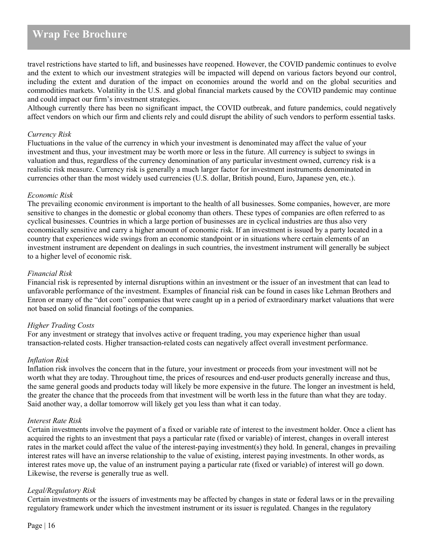travel restrictions have started to lift, and businesses have reopened. However, the COVID pandemic continues to evolve and the extent to which our investment strategies will be impacted will depend on various factors beyond our control, including the extent and duration of the impact on economies around the world and on the global securities and commodities markets. Volatility in the U.S. and global financial markets caused by the COVID pandemic may continue and could impact our firm's investment strategies.

Although currently there has been no significant impact, the COVID outbreak, and future pandemics, could negatively affect vendors on which our firm and clients rely and could disrupt the ability of such vendors to perform essential tasks.

#### *Currency Risk*

Fluctuations in the value of the currency in which your investment is denominated may affect the value of your investment and thus, your investment may be worth more or less in the future. All currency is subject to swings in valuation and thus, regardless of the currency denomination of any particular investment owned, currency risk is a realistic risk measure. Currency risk is generally a much larger factor for investment instruments denominated in currencies other than the most widely used currencies (U.S. dollar, British pound, Euro, Japanese yen, etc.).

#### *Economic Risk*

The prevailing economic environment is important to the health of all businesses. Some companies, however, are more sensitive to changes in the domestic or global economy than others. These types of companies are often referred to as cyclical businesses. Countries in which a large portion of businesses are in cyclical industries are thus also very economically sensitive and carry a higher amount of economic risk. If an investment is issued by a party located in a country that experiences wide swings from an economic standpoint or in situations where certain elements of an investment instrument are dependent on dealings in such countries, the investment instrument will generally be subject to a higher level of economic risk.

#### *Financial Risk*

Financial risk is represented by internal disruptions within an investment or the issuer of an investment that can lead to unfavorable performance of the investment. Examples of financial risk can be found in cases like Lehman Brothers and Enron or many of the "dot com" companies that were caught up in a period of extraordinary market valuations that were not based on solid financial footings of the companies.

#### *Higher Trading Costs*

For any investment or strategy that involves active or frequent trading, you may experience higher than usual transaction-related costs. Higher transaction-related costs can negatively affect overall investment performance.

#### *Inflation Risk*

Inflation risk involves the concern that in the future, your investment or proceeds from your investment will not be worth what they are today. Throughout time, the prices of resources and end-user products generally increase and thus, the same general goods and products today will likely be more expensive in the future. The longer an investment is held, the greater the chance that the proceeds from that investment will be worth less in the future than what they are today. Said another way, a dollar tomorrow will likely get you less than what it can today.

#### *Interest Rate Risk*

Certain investments involve the payment of a fixed or variable rate of interest to the investment holder. Once a client has acquired the rights to an investment that pays a particular rate (fixed or variable) of interest, changes in overall interest rates in the market could affect the value of the interest-paying investment(s) they hold. In general, changes in prevailing interest rates will have an inverse relationship to the value of existing, interest paying investments. In other words, as interest rates move up, the value of an instrument paying a particular rate (fixed or variable) of interest will go down. Likewise, the reverse is generally true as well.

#### *Legal/Regulatory Risk*

Certain investments or the issuers of investments may be affected by changes in state or federal laws or in the prevailing regulatory framework under which the investment instrument or its issuer is regulated. Changes in the regulatory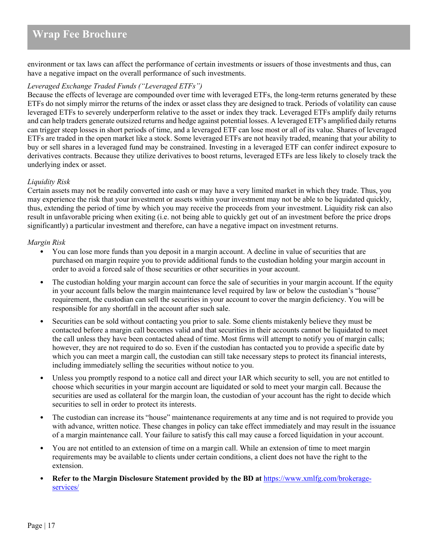environment or tax laws can affect the performance of certain investments or issuers of those investments and thus, can have a negative impact on the overall performance of such investments.

### *Leveraged Exchange Traded Funds ("Leveraged ETFs")*

Because the effects of leverage are compounded over time with leveraged ETFs, the long-term returns generated by these ETFs do not simply mirror the returns of the index or asset class they are designed to track. Periods of volatility can cause leveraged ETFs to severely underperform relative to the asset or index they track. Leveraged ETFs amplify daily returns and can help traders generate outsized returns and hedge against potential losses. A leveraged ETF's amplified daily returns can trigger steep losses in short periods of time, and a leveraged ETF can lose most or all of its value. Shares of leveraged ETFs are traded in the open market like a stock. Some leveraged ETFs are not heavily traded, meaning that your ability to buy or sell shares in a leveraged fund may be constrained. Investing in a leveraged ETF can confer indirect exposure to derivatives contracts. Because they utilize derivatives to boost returns, leveraged ETFs are less likely to closely track the underlying index or asset.

#### *Liquidity Risk*

Certain assets may not be readily converted into cash or may have a very limited market in which they trade. Thus, you may experience the risk that your investment or assets within your investment may not be able to be liquidated quickly, thus, extending the period of time by which you may receive the proceeds from your investment. Liquidity risk can also result in unfavorable pricing when exiting (i.e. not being able to quickly get out of an investment before the price drops significantly) a particular investment and therefore, can have a negative impact on investment returns.

#### *Margin Risk*

- You can lose more funds than you deposit in a margin account. A decline in value of securities that are purchased on margin require you to provide additional funds to the custodian holding your margin account in order to avoid a forced sale of those securities or other securities in your account.
- The custodian holding your margin account can force the sale of securities in your margin account. If the equity in your account falls below the margin maintenance level required by law or below the custodian's "house" requirement, the custodian can sell the securities in your account to cover the margin deficiency. You will be responsible for any shortfall in the account after such sale.
- Securities can be sold without contacting you prior to sale. Some clients mistakenly believe they must be contacted before a margin call becomes valid and that securities in their accounts cannot be liquidated to meet the call unless they have been contacted ahead of time. Most firms will attempt to notify you of margin calls; however, they are not required to do so. Even if the custodian has contacted you to provide a specific date by which you can meet a margin call, the custodian can still take necessary steps to protect its financial interests, including immediately selling the securities without notice to you.
- Unless you promptly respond to a notice call and direct your IAR which security to sell, you are not entitled to choose which securities in your margin account are liquidated or sold to meet your margin call. Because the securities are used as collateral for the margin loan, the custodian of your account has the right to decide which securities to sell in order to protect its interests.
- The custodian can increase its "house" maintenance requirements at any time and is not required to provide you with advance, written notice. These changes in policy can take effect immediately and may result in the issuance of a margin maintenance call. Your failure to satisfy this call may cause a forced liquidation in your account.
- You are not entitled to an extension of time on a margin call. While an extension of time to meet margin requirements may be available to clients under certain conditions, a client does not have the right to the extension.
- **Refer to the Margin Disclosure Statement provided by the BD at** [https://www.xmlfg.com/brokerage](https://www.xmlfg.com/brokerage-services/)[services/](https://www.xmlfg.com/brokerage-services/)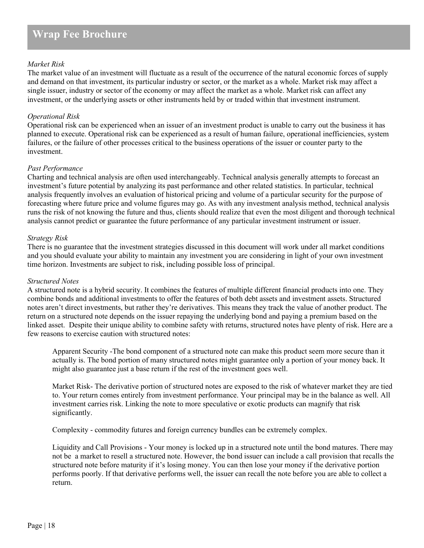### *Market Risk*

The market value of an investment will fluctuate as a result of the occurrence of the natural economic forces of supply and demand on that investment, its particular industry or sector, or the market as a whole. Market risk may affect a single issuer, industry or sector of the economy or may affect the market as a whole. Market risk can affect any investment, or the underlying assets or other instruments held by or traded within that investment instrument.

### *Operational Risk*

Operational risk can be experienced when an issuer of an investment product is unable to carry out the business it has planned to execute. Operational risk can be experienced as a result of human failure, operational inefficiencies, system failures, or the failure of other processes critical to the business operations of the issuer or counter party to the investment.

#### *Past Performance*

Charting and technical analysis are often used interchangeably. Technical analysis generally attempts to forecast an investment's future potential by analyzing its past performance and other related statistics. In particular, technical analysis frequently involves an evaluation of historical pricing and volume of a particular security for the purpose of forecasting where future price and volume figures may go. As with any investment analysis method, technical analysis runs the risk of not knowing the future and thus, clients should realize that even the most diligent and thorough technical analysis cannot predict or guarantee the future performance of any particular investment instrument or issuer.

### *Strategy Risk*

There is no guarantee that the investment strategies discussed in this document will work under all market conditions and you should evaluate your ability to maintain any investment you are considering in light of your own investment time horizon. Investments are subject to risk, including possible loss of principal.

#### *Structured Notes*

A structured note is a hybrid security. It combines the features of multiple different financial products into one. They combine bonds and additional investments to offer the features of both debt assets and investment assets. Structured notes aren't direct investments, but rather they're derivatives. This means they track the value of another product. The return on a structured note depends on the issuer repaying the underlying bond and paying a premium based on the linked asset. Despite their unique ability to combine safety with returns, structured notes have plenty of risk. Here are a few reasons to exercise caution with structured notes:

Apparent Security -The bond component of a structured note can make this product seem more secure than it actually is. The bond portion of many structured notes might guarantee only a portion of your money back. It might also guarantee just a base return if the rest of the investment goes well.

Market Risk- The derivative portion of structured notes are exposed to the risk of whatever market they are tied to. Your return comes entirely from investment performance. Your principal may be in the balance as well. All investment carries risk. Linking the note to more speculative or exotic products can magnify that risk significantly.

Complexity - commodity futures and foreign currency bundles can be extremely complex.

Liquidity and Call Provisions - Your money is locked up in a structured note until the bond matures. There may not be a market to resell a structured note. However, the bond issuer can include a call provision that recalls the structured note before maturity if it's losing money. You can then lose your money if the derivative portion performs poorly. If that derivative performs well, the issuer can recall the note before you are able to collect a return.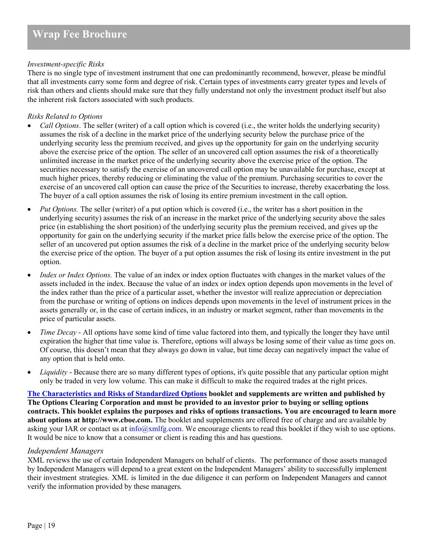### *Investment-specific Risks*

There is no single type of investment instrument that one can predominantly recommend, however, please be mindful that all investments carry some form and degree of risk. Certain types of investments carry greater types and levels of risk than others and clients should make sure that they fully understand not only the investment product itself but also the inherent risk factors associated with such products.

### *Risks Related to Options*

- *Call Options*. The seller (writer) of a call option which is covered (i.e., the writer holds the underlying security) assumes the risk of a decline in the market price of the underlying security below the purchase price of the underlying security less the premium received, and gives up the opportunity for gain on the underlying security above the exercise price of the option. The seller of an uncovered call option assumes the risk of a theoretically unlimited increase in the market price of the underlying security above the exercise price of the option. The securities necessary to satisfy the exercise of an uncovered call option may be unavailable for purchase, except at much higher prices, thereby reducing or eliminating the value of the premium. Purchasing securities to cover the exercise of an uncovered call option can cause the price of the Securities to increase, thereby exacerbating the loss. The buyer of a call option assumes the risk of losing its entire premium investment in the call option.
- *Put Options.* The seller (writer) of a put option which is covered (i.e., the writer has a short position in the underlying security) assumes the risk of an increase in the market price of the underlying security above the sales price (in establishing the short position) of the underlying security plus the premium received, and gives up the opportunity for gain on the underlying security if the market price falls below the exercise price of the option. The seller of an uncovered put option assumes the risk of a decline in the market price of the underlying security below the exercise price of the option. The buyer of a put option assumes the risk of losing its entire investment in the put option.
- *Index or Index Options.* The value of an index or index option fluctuates with changes in the market values of the assets included in the index. Because the value of an index or index option depends upon movements in the level of the index rather than the price of a particular asset, whether the investor will realize appreciation or depreciation from the purchase or writing of options on indices depends upon movements in the level of instrument prices in the assets generally or, in the case of certain indices, in an industry or market segment, rather than movements in the price of particular assets.
- *Time Decay* All options have some kind of time value factored into them, and typically the longer they have until expiration the higher that time value is. Therefore, options will always be losing some of their value as time goes on. Of course, this doesn't mean that they always go down in value, but time decay can negatively impact the value of any option that is held onto.
- *Liquidity* Because there are so many different types of options, it's quite possible that any particular option might only be traded in very low volume. This can make it difficult to make the required trades at the right prices.

**[The Characteristics and Risks of Standardized Options](https://www.theocc.com/Company-Information/Documents-and-Archives/Publications) booklet and supplements are written and published by The Options Clearing Corporation and must be provided to an investor prior to buying or selling options contracts. This booklet explains the purposes and risks of options transactions. You are encouraged to learn more about options at http://www.cboe.com.** The booklet and supplements are offered free of charge and are available by asking your IAR or contact us at  $in \overline{f_0}$   $\alpha$ xmlfg.com. We encourage clients to read this booklet if they wish to use options. It would be nice to know that a consumer or client is reading this and has questions.

#### *Independent Managers*

XML reviews the use of certain Independent Managers on behalf of clients. The performance of those assets managed by Independent Managers will depend to a great extent on the Independent Managers' ability to successfully implement their investment strategies. XML is limited in the due diligence it can perform on Independent Managers and cannot verify the information provided by these managers.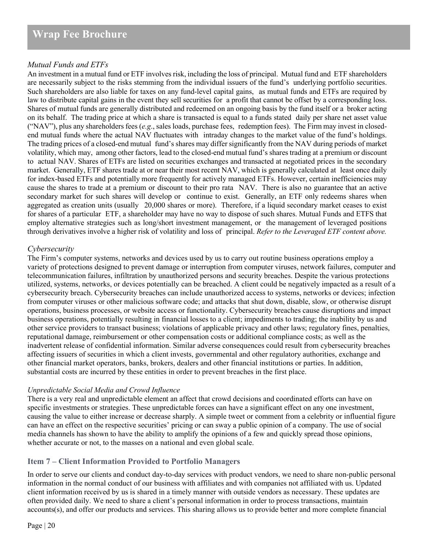# *Mutual Funds and ETFs*

An investment in a mutual fund or ETF involves risk, including the loss of principal. Mutual fund and ETF shareholders are necessarily subject to the risks stemming from the individual issuers of the fund's underlying portfolio securities. Such shareholders are also liable for taxes on any fund-level capital gains, as mutual funds and ETFs are required by law to distribute capital gains in the event they sell securities for a profit that cannot be offset by a corresponding loss. Shares of mutual funds are generally distributed and redeemed on an ongoing basis by the fund itself or a broker acting on its behalf. The trading price at which a share is transacted is equal to a funds stated daily per share net asset value ("NAV"), plus any shareholders fees (*e.g*., sales loads, purchase fees, redemption fees). The Firm may invest in closedend mutual funds where the actual NAV fluctuates with intraday changes to the market value of the fund's holdings. The trading prices of a closed-end mutual fund's shares may differ significantly from the NAV during periods of market volatility, which may, among other factors, lead to the closed-end mutual fund's shares trading at a premium or discount to actual NAV. Shares of ETFs are listed on securities exchanges and transacted at negotiated prices in the secondary market. Generally, ETF shares trade at or near their most recent NAV, which is generally calculated at least once daily for index-based ETFs and potentially more frequently for actively managed ETFs. However, certain inefficiencies may cause the shares to trade at a premium or discount to their pro rata NAV. There is also no guarantee that an active secondary market for such shares will develop or continue to exist. Generally, an ETF only redeems shares when aggregated as creation units (usually 20,000 shares or more). Therefore, if a liquid secondary market ceases to exist for shares of a particular ETF, a shareholder may have no way to dispose of such shares. Mutual Funds and ETFS that employ alternative strategies such as long/short investment management, or the management of leveraged positions through derivatives involve a higher risk of volatility and loss of principal. *Refer to the Leveraged ETF content above.*

# *Cybersecurity*

The Firm's computer systems, networks and devices used by us to carry out routine business operations employ a variety of protections designed to prevent damage or interruption from computer viruses, network failures, computer and telecommunication failures, infiltration by unauthorized persons and security breaches. Despite the various protections utilized, systems, networks, or devices potentially can be breached. A client could be negatively impacted as a result of a cybersecurity breach. Cybersecurity breaches can include unauthorized access to systems, networks or devices; infection from computer viruses or other malicious software code; and attacks that shut down, disable, slow, or otherwise disrupt operations, business processes, or website access or functionality. Cybersecurity breaches cause disruptions and impact business operations, potentially resulting in financial losses to a client; impediments to trading; the inability by us and other service providers to transact business; violations of applicable privacy and other laws; regulatory fines, penalties, reputational damage, reimbursement or other compensation costs or additional compliance costs; as well as the inadvertent release of confidential information. Similar adverse consequences could result from cybersecurity breaches affecting issuers of securities in which a client invests, governmental and other regulatory authorities, exchange and other financial market operators, banks, brokers, dealers and other financial institutions or parties. In addition, substantial costs are incurred by these entities in order to prevent breaches in the first place.

# *Unpredictable Social Media and Crowd Influence*

There is a very real and unpredictable element an affect that crowd decisions and coordinated efforts can have on specific investments or strategies. These unpredictable forces can have a significant effect on any one investment, causing the value to either increase or decrease sharply. A simple tweet or comment from a celebrity or influential figure can have an effect on the respective securities' pricing or can sway a public opinion of a company. The use of social media channels has shown to have the ability to amplify the opinions of a few and quickly spread those opinions, whether accurate or not, to the masses on a national and even global scale.

# <span id="page-19-0"></span>**Item 7 – Client Information Provided to Portfolio Managers**

In order to serve our clients and conduct day-to-day services with product vendors, we need to share non-public personal information in the normal conduct of our business with affiliates and with companies not affiliated with us. Updated client information received by us is shared in a timely manner with outside vendors as necessary. These updates are often provided daily. We need to share a client's personal information in order to process transactions, maintain accounts(s), and offer our products and services. This sharing allows us to provide better and more complete financial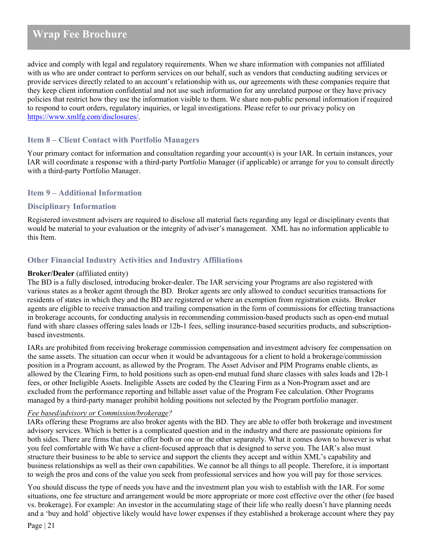advice and comply with legal and regulatory requirements. When we share information with companies not affiliated with us who are under contract to perform services on our behalf, such as vendors that conducting auditing services or provide services directly related to an account's relationship with us, our agreements with these companies require that they keep client information confidential and not use such information for any unrelated purpose or they have privacy policies that restrict how they use the information visible to them. We share non-public personal information if required to respond to court orders, regulatory inquiries, or legal investigations. Please refer to our privacy policy on [https://www.xmlfg.com/disclosures/.](https://www.xmlfg.com/disclosures/)

# <span id="page-20-0"></span>**Item 8 – Client Contact with Portfolio Managers**

Your primary contact for information and consultation regarding your account(s) is your IAR. In certain instances, your IAR will coordinate a response with a third-party Portfolio Manager (if applicable) or arrange for you to consult directly with a third-party Portfolio Manager.

# <span id="page-20-1"></span>**Item 9 – Additional Information**

# <span id="page-20-2"></span>**Disciplinary Information**

Registered investment advisers are required to disclose all material facts regarding any legal or disciplinary events that would be material to your evaluation or the integrity of adviser's management. XML has no information applicable to this Item.

# <span id="page-20-3"></span>**Other Financial Industry Activities and Industry Affiliations**

### **Broker/Dealer** (affiliated entity)

The BD is a fully disclosed, introducing broker-dealer. The IAR servicing your Programs are also registered with various states as a broker agent through the BD. Broker agents are only allowed to conduct securities transactions for residents of states in which they and the BD are registered or where an exemption from registration exists. Broker agents are eligible to receive transaction and trailing compensation in the form of commissions for effecting transactions in brokerage accounts, for conducting analysis in recommending commission-based products such as open-end mutual fund with share classes offering sales loads or 12b-1 fees, selling insurance-based securities products, and subscriptionbased investments.

IARs are prohibited from receiving brokerage commission compensation and investment advisory fee compensation on the same assets. The situation can occur when it would be advantageous for a client to hold a brokerage/commission position in a Program account, as allowed by the Program. The Asset Advisor and PIM Programs enable clients, as allowed by the Clearing Firm, to hold positions such as open-end mutual fund share classes with sales loads and 12b-1 fees, or other Ineligible Assets. Ineligible Assets are coded by the Clearing Firm as a Non-Program asset and are excluded from the performance reporting and billable asset value of the Program Fee calculation. Other Programs managed by a third-party manager prohibit holding positions not selected by the Program portfolio manager.

#### *Fee based/advisory or Commission/brokerage?*

IARs offering these Programs are also broker agents with the BD. They are able to offer both brokerage and investment advisory services. Which is better is a complicated question and in the industry and there are passionate opinions for both sides. There are firms that either offer both or one or the other separately. What it comes down to however is what you feel comfortable with We have a client-focused approach that is designed to serve you. The IAR's also must structure their business to be able to service and support the clients they accept and within XML's capability and business relationships as well as their own capabilities. We cannot be all things to all people. Therefore, it is important to weigh the pros and cons of the value you seek from professional services and how you will pay for those services.

You should discuss the type of needs you have and the investment plan you wish to establish with the IAR. For some situations, one fee structure and arrangement would be more appropriate or more cost effective over the other (fee based vs. brokerage). For example: An investor in the accumulating stage of their life who really doesn't have planning needs and a 'buy and hold' objective likely would have lower expenses if they established a brokerage account where they pay

Page | 21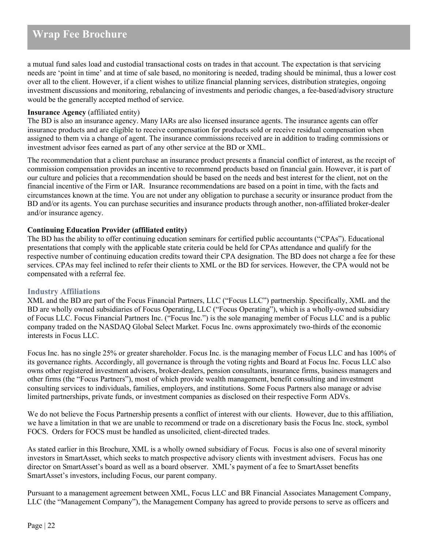a mutual fund sales load and custodial transactional costs on trades in that account. The expectation is that servicing needs are 'point in time' and at time of sale based, no monitoring is needed, trading should be minimal, thus a lower cost over all to the client. However, if a client wishes to utilize financial planning services, distribution strategies, ongoing investment discussions and monitoring, rebalancing of investments and periodic changes, a fee-based/advisory structure would be the generally accepted method of service.

# **Insurance Agency** (affiliated entity)

The BD is also an insurance agency. Many IARs are also licensed insurance agents. The insurance agents can offer insurance products and are eligible to receive compensation for products sold or receive residual compensation when assigned to them via a change of agent. The insurance commissions received are in addition to trading commissions or investment advisor fees earned as part of any other service at the BD or XML.

The recommendation that a client purchase an insurance product presents a financial conflict of interest, as the receipt of commission compensation provides an incentive to recommend products based on financial gain. However, it is part of our culture and policies that a recommendation should be based on the needs and best interest for the client, not on the financial incentive of the Firm or IAR. Insurance recommendations are based on a point in time, with the facts and circumstances known at the time. You are not under any obligation to purchase a security or insurance product from the BD and/or its agents. You can purchase securities and insurance products through another, non-affiliated broker-dealer and/or insurance agency.

### **Continuing Education Provider (affiliated entity)**

The BD has the ability to offer continuing education seminars for certified public accountants ("CPAs"). Educational presentations that comply with the applicable state criteria could be held for CPAs attendance and qualify for the respective number of continuing education credits toward their CPA designation. The BD does not charge a fee for these services. CPAs may feel inclined to refer their clients to XML or the BD for services. However, the CPA would not be compensated with a referral fee.

# **Industry Affiliations**

XML and the BD are part of the Focus Financial Partners, LLC ("Focus LLC") partnership. Specifically, XML and the BD are wholly owned subsidiaries of Focus Operating, LLC ("Focus Operating"), which is a wholly-owned subsidiary of Focus LLC. Focus Financial Partners Inc. ("Focus Inc.") is the sole managing member of Focus LLC and is a public company traded on the NASDAQ Global Select Market. Focus Inc. owns approximately two-thirds of the economic interests in Focus LLC.

Focus Inc. has no single 25% or greater shareholder. Focus Inc. is the managing member of Focus LLC and has 100% of its governance rights. Accordingly, all governance is through the voting rights and Board at Focus Inc. Focus LLC also owns other registered investment advisers, broker-dealers, pension consultants, insurance firms, business managers and other firms (the "Focus Partners"), most of which provide wealth management, benefit consulting and investment consulting services to individuals, families, employers, and institutions. Some Focus Partners also manage or advise limited partnerships, private funds, or investment companies as disclosed on their respective Form ADVs.

We do not believe the Focus Partnership presents a conflict of interest with our clients. However, due to this affiliation, we have a limitation in that we are unable to recommend or trade on a discretionary basis the Focus Inc. stock, symbol FOCS. Orders for FOCS must be handled as unsolicited, client-directed trades.

As stated earlier in this Brochure, XML is a wholly owned subsidiary of Focus. Focus is also one of several minority investors in SmartAsset, which seeks to match prospective advisory clients with investment advisers. Focus has one director on SmartAsset's board as well as a board observer. XML's payment of a fee to SmartAsset benefits SmartAsset's investors, including Focus, our parent company.

Pursuant to a management agreement between XML, Focus LLC and BR Financial Associates Management Company, LLC (the "Management Company"), the Management Company has agreed to provide persons to serve as officers and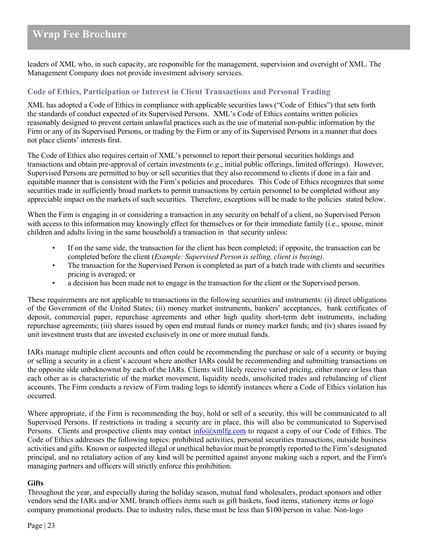leaders of XML who, in such capacity, are responsible for the management, supervision and oversight of XML. The Management Company does not provide investment advisory services.

# <span id="page-22-0"></span>**Code of Ethics, Participation or Interest in Client Transactions and Personal Trading**

XML has adopted a Code of Ethics in compliance with applicable securities laws ("Code of Ethics") that sets forth the standards of conduct expected of its Supervised Persons. XML's Code of Ethics contains written policies reasonably designed to prevent certain unlawful practices such as the use of material non-public information by the Firm or any of its Supervised Persons, or trading by the Firm or any of its Supervised Persons in a manner that does not place clients' interests first.

The Code of Ethics also requires certain of XML's personnel to report their personal securities holdings and transactions and obtain pre-approval of certain investments (*e.g*., initial public offerings, limited offerings). However, Supervised Persons are permitted to buy or sell securities that they also recommend to clients if done in a fair and equitable manner that is consistent with the Firm's policies and procedures. This Code of Ethics recognizes that some securities trade in sufficiently broad markets to permit transactions by certain personnel to be completed without any appreciable impact on the markets of such securities. Therefore, exceptions will be made to the policies stated below.

When the Firm is engaging in or considering a transaction in any security on behalf of a client, no Supervised Person with access to this information may knowingly effect for themselves or for their immediate family (i.e., spouse, minor children and adults living in the same household) a transaction in that security unless:

- If on the same side, the transaction for the client has been completed; if opposite, the transaction can be completed before the client (*Example: Supervised Person is selling, client is buying)*.
- The transaction for the Supervised Person is completed as part of a batch trade with clients and securities pricing is averaged; or
- a decision has been made not to engage in the transaction for the client or the Supervised person.

These requirements are not applicable to transactions in the following securities and instruments: (i) direct obligations of the Government of the United States; (ii) money market instruments, bankers' acceptances, bank certificates of deposit, commercial paper, repurchase agreements and other high quality short-term debt instruments, including repurchase agreements; (iii) shares issued by open end mutual funds or money market funds; and (iv) shares issued by unit investment trusts that are invested exclusively in one or more mutual funds.

IARs manage multiple client accounts and often could be recommending the purchase or sale of a security or buying or selling a security in a client's account where another IARs could be recommending and submitting transactions on the opposite side unbeknownst by each of the IARs. Clients will likely receive varied pricing, either more or less than each other as is characteristic of the market movement, liquidity needs, unsolicited trades and rebalancing of client accounts. The Firm conducts a review of Firm trading logs to identify instances where a Code of Ethics violation has occurred.

Where appropriate, if the Firm is recommending the buy, hold or sell of a security, this will be communicated to all Supervised Persons. If restrictions in trading a security are in place, this will also be communicated to Supervised Persons. Clients and prospective clients may contact  $\frac{info(\partial xm)fg.com}{info(\partial ym)fg.com}$  to request a copy of our Code of Ethics. The Code of Ethics addresses the following topics: prohibited activities, personal securities transactions, outside business activities and gifts. Known or suspected illegal or unethical behavior must be promptly reported to the Firm's designated principal, and no retaliatory action of any kind will be permitted against anyone making such a report, and the Firm's managing partners and officers will strictly enforce this prohibition.

#### **Gifts**

Throughout the year, and especially during the holiday season, mutual fund wholesalers, product sponsors and other vendors send the IARs and/or XML branch offices items such as gift baskets, food items, stationery items or logo company promotional products. Due to industry rules, these must be less than \$100/person in value. Non-logo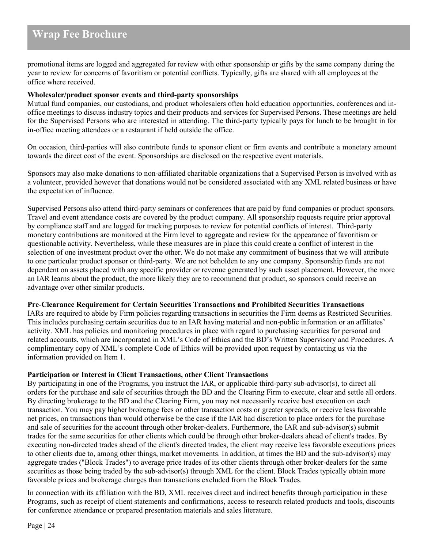promotional items are logged and aggregated for review with other sponsorship or gifts by the same company during the year to review for concerns of favoritism or potential conflicts. Typically, gifts are shared with all employees at the office where received.

#### **Wholesaler/product sponsor events and third-party sponsorships**

Mutual fund companies, our custodians, and product wholesalers often hold education opportunities, conferences and inoffice meetings to discuss industry topics and their products and services for Supervised Persons. These meetings are held for the Supervised Persons who are interested in attending. The third-party typically pays for lunch to be brought in for in-office meeting attendees or a restaurant if held outside the office.

On occasion, third-parties will also contribute funds to sponsor client or firm events and contribute a monetary amount towards the direct cost of the event. Sponsorships are disclosed on the respective event materials.

Sponsors may also make donations to non-affiliated charitable organizations that a Supervised Person is involved with as a volunteer, provided however that donations would not be considered associated with any XML related business or have the expectation of influence.

Supervised Persons also attend third-party seminars or conferences that are paid by fund companies or product sponsors. Travel and event attendance costs are covered by the product company. All sponsorship requests require prior approval by compliance staff and are logged for tracking purposes to review for potential conflicts of interest. Third-party monetary contributions are monitored at the Firm level to aggregate and review for the appearance of favoritism or questionable activity. Nevertheless, while these measures are in place this could create a conflict of interest in the selection of one investment product over the other. We do not make any commitment of business that we will attribute to one particular product sponsor or third-party. We are not beholden to any one company. Sponsorship funds are not dependent on assets placed with any specific provider or revenue generated by such asset placement. However, the more an IAR learns about the product, the more likely they are to recommend that product, so sponsors could receive an advantage over other similar products.

#### **Pre-Clearance Requirement for Certain Securities Transactions and Prohibited Securities Transactions**

IARs are required to abide by Firm policies regarding transactions in securities the Firm deems as Restricted Securities. This includes purchasing certain securities due to an IAR having material and non-public information or an affiliates' activity. XML has policies and monitoring procedures in place with regard to purchasing securities for personal and related accounts, which are incorporated in XML's Code of Ethics and the BD's Written Supervisory and Procedures. A complimentary copy of XML's complete Code of Ethics will be provided upon request by contacting us via the information provided on Item 1.

#### **Participation or Interest in Client Transactions, other Client Transactions**

By participating in one of the Programs, you instruct the IAR, or applicable third-party sub-advisor(s), to direct all orders for the purchase and sale of securities through the BD and the Clearing Firm to execute, clear and settle all orders. By directing brokerage to the BD and the Clearing Firm, you may not necessarily receive best execution on each transaction. You may pay higher brokerage fees or other transaction costs or greater spreads, or receive less favorable net prices, on transactions than would otherwise be the case if the IAR had discretion to place orders for the purchase and sale of securities for the account through other broker-dealers. Furthermore, the IAR and sub-advisor(s) submit trades for the same securities for other clients which could be through other broker-dealers ahead of client's trades. By executing non-directed trades ahead of the client's directed trades, the client may receive less favorable executions prices to other clients due to, among other things, market movements. In addition, at times the BD and the sub-advisor(s) may aggregate trades ("Block Trades") to average price trades of its other clients through other broker-dealers for the same securities as those being traded by the sub-advisor(s) through XML for the client. Block Trades typically obtain more favorable prices and brokerage charges than transactions excluded from the Block Trades.

In connection with its affiliation with the BD, XML receives direct and indirect benefits through participation in these Programs, such as receipt of client statements and confirmations, access to research related products and tools, discounts for conference attendance or prepared presentation materials and sales literature.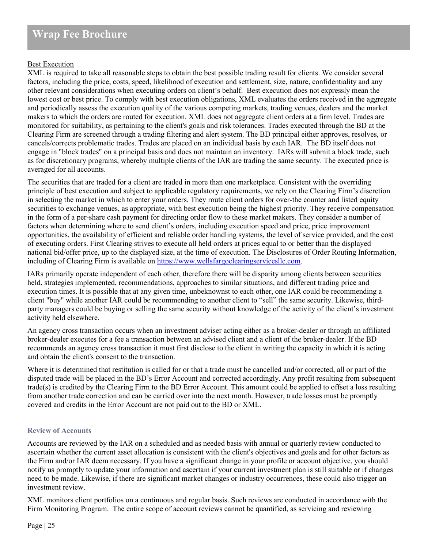### Best Execution

XML is required to take all reasonable steps to obtain the best possible trading result for clients. We consider several factors, including the price, costs, speed, likelihood of execution and settlement, size, nature, confidentiality and any other relevant considerations when executing orders on client's behalf. Best execution does not expressly mean the lowest cost or best price. To comply with best execution obligations, XML evaluates the orders received in the aggregate and periodically assess the execution quality of the various competing markets, trading venues, dealers and the market makers to which the orders are routed for execution. XML does not aggregate client orders at a firm level. Trades are monitored for suitability, as pertaining to the client's goals and risk tolerances. Trades executed through the BD at the Clearing Firm are screened through a trading filtering and alert system. The BD principal either approves, resolves, or cancels/corrects problematic trades. Trades are placed on an individual basis by each IAR. The BD itself does not engage in "block trades" on a principal basis and does not maintain an inventory. IARs will submit a block trade, such as for discretionary programs, whereby multiple clients of the IAR are trading the same security. The executed price is averaged for all accounts.

The securities that are traded for a client are traded in more than one marketplace. Consistent with the overriding principle of best execution and subject to applicable regulatory requirements, we rely on the Clearing Firm's discretion in selecting the market in which to enter your orders. They route client orders for over-the counter and listed equity securities to exchange venues, as appropriate, with best execution being the highest priority. They receive compensation in the form of a per-share cash payment for directing order flow to these market makers. They consider a number of factors when determining where to send client's orders, including execution speed and price, price improvement opportunities, the availability of efficient and reliable order handling systems, the level of service provided, and the cost of executing orders. First Clearing strives to execute all held orders at prices equal to or better than the displayed national bid/offer price, up to the displayed size, at the time of execution. The Disclosures of Order Routing Information, including of Clearing Firm is available on [https://www.wellsfargoclearingservicesllc.com.](https://www.wellsfargoclearingservicesllc.com/)

IARs primarily operate independent of each other, therefore there will be disparity among clients between securities held, strategies implemented, recommendations, approaches to similar situations, and different trading price and execution times. It is possible that at any given time, unbeknownst to each other, one IAR could be recommending a client "buy" while another IAR could be recommending to another client to "sell" the same security. Likewise, thirdparty managers could be buying or selling the same security without knowledge of the activity of the client's investment activity held elsewhere.

An agency cross transaction occurs when an investment adviser acting either as a broker-dealer or through an affiliated broker-dealer executes for a fee a transaction between an advised client and a client of the broker-dealer. If the BD recommends an agency cross transaction it must first disclose to the client in writing the capacity in which it is acting and obtain the client's consent to the transaction.

Where it is determined that restitution is called for or that a trade must be cancelled and/or corrected, all or part of the disputed trade will be placed in the BD's Error Account and corrected accordingly. Any profit resulting from subsequent trade(s) is credited by the Clearing Firm to the BD Error Account. This amount could be applied to offset a loss resulting from another trade correction and can be carried over into the next month. However, trade losses must be promptly covered and credits in the Error Account are not paid out to the BD or XML.

# <span id="page-24-0"></span>**Review of Accounts**

Accounts are reviewed by the IAR on a scheduled and as needed basis with annual or quarterly review conducted to ascertain whether the current asset allocation is consistent with the client's objectives and goals and for other factors as the Firm and/or IAR deem necessary. If you have a significant change in your profile or account objective, you should notify us promptly to update your information and ascertain if your current investment plan is still suitable or if changes need to be made. Likewise, if there are significant market changes or industry occurrences, these could also trigger an investment review.

XML monitors client portfolios on a continuous and regular basis. Such reviews are conducted in accordance with the Firm Monitoring Program. The entire scope of account reviews cannot be quantified, as servicing and reviewing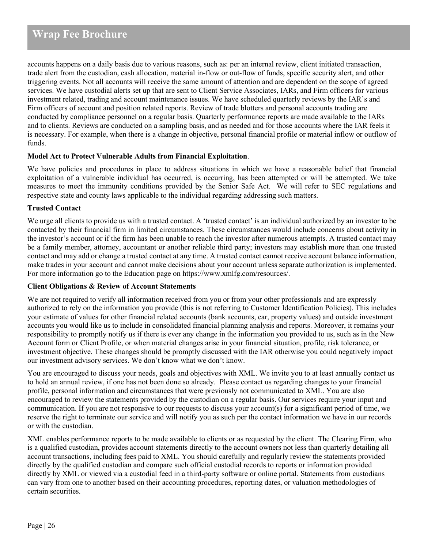accounts happens on a daily basis due to various reasons, such as: per an internal review, client initiated transaction, trade alert from the custodian, cash allocation, material in-flow or out-flow of funds, specific security alert, and other triggering events. Not all accounts will receive the same amount of attention and are dependent on the scope of agreed services. We have custodial alerts set up that are sent to Client Service Associates, IARs, and Firm officers for various investment related, trading and account maintenance issues. We have scheduled quarterly reviews by the IAR's and Firm officers of account and position related reports. Review of trade blotters and personal accounts trading are conducted by compliance personnel on a regular basis. Quarterly performance reports are made available to the IARs and to clients. Reviews are conducted on a sampling basis, and as needed and for those accounts where the IAR feels it is necessary. For example, when there is a change in objective, personal financial profile or material inflow or outflow of funds.

### **Model Act to Protect Vulnerable Adults from Financial Exploitation**.

We have policies and procedures in place to address situations in which we have a reasonable belief that financial exploitation of a vulnerable individual has occurred, is occurring, has been attempted or will be attempted. We take measures to meet the immunity conditions provided by the Senior Safe Act. We will refer to SEC regulations and respective state and county laws applicable to the individual regarding addressing such matters.

### **Trusted Contact**

We urge all clients to provide us with a trusted contact. A 'trusted contact' is an individual authorized by an investor to be contacted by their financial firm in limited circumstances. These circumstances would include concerns about activity in the investor's account or if the firm has been unable to reach the investor after numerous attempts. A trusted contact may be a family member, attorney, accountant or another reliable third party; investors may establish more than one trusted contact and may add or change a trusted contact at any time. A trusted contact cannot receive account balance information, make trades in your account and cannot make decisions about your account unless separate authorization is implemented. For more information go to the Education page on https://www.xmlfg.com/resources/.

# **Client Obligations & Review of Account Statements**

We are not required to verify all information received from you or from your other professionals and are expressly authorized to rely on the information you provide (this is not referring to Customer Identification Policies). This includes your estimate of values for other financial related accounts (bank accounts, car, property values) and outside investment accounts you would like us to include in consolidated financial planning analysis and reports. Moreover, it remains your responsibility to promptly notify us if there is ever any change in the information you provided to us, such as in the New Account form or Client Profile, or when material changes arise in your financial situation, profile, risk tolerance, or investment objective. These changes should be promptly discussed with the IAR otherwise you could negatively impact our investment advisory services. We don't know what we don't know.

You are encouraged to discuss your needs, goals and objectives with XML. We invite you to at least annually contact us to hold an annual review, if one has not been done so already. Please contact us regarding changes to your financial profile, personal information and circumstances that were previously not communicated to XML. You are also encouraged to review the statements provided by the custodian on a regular basis. Our services require your input and communication. If you are not responsive to our requests to discuss your account(s) for a significant period of time, we reserve the right to terminate our service and will notify you as such per the contact information we have in our records or with the custodian.

XML enables performance reports to be made available to clients or as requested by the client. The Clearing Firm, who is a qualified custodian, provides account statements directly to the account owners not less than quarterly detailing all account transactions, including fees paid to XML. You should carefully and regularly review the statements provided directly by the qualified custodian and compare such official custodial records to reports or information provided directly by XML or viewed via a custodial feed in a third-party software or online portal. Statements from custodians can vary from one to another based on their accounting procedures, reporting dates, or valuation methodologies of certain securities.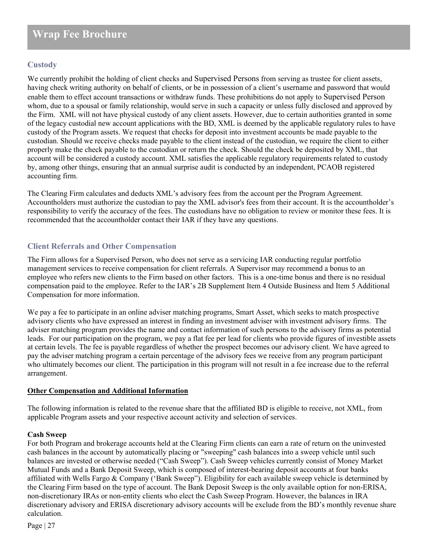# **Custody**

We currently prohibit the holding of client checks and Supervised Persons from serving as trustee for client assets, having check writing authority on behalf of clients, or be in possession of a client's username and password that would enable them to effect account transactions or withdraw funds. These prohibitions do not apply to Supervised Person whom, due to a spousal or family relationship, would serve in such a capacity or unless fully disclosed and approved by the Firm. XML will not have physical custody of any client assets. However, due to certain authorities granted in some of the legacy custodial new account applications with the BD, XML is deemed by the applicable regulatory rules to have custody of the Program assets. We request that checks for deposit into investment accounts be made payable to the custodian. Should we receive checks made payable to the client instead of the custodian, we require the client to either properly make the check payable to the custodian or return the check. Should the check be deposited by XML, that account will be considered a custody account. XML satisfies the applicable regulatory requirements related to custody by, among other things, ensuring that an annual surprise audit is conducted by an independent, PCAOB registered accounting firm.

The Clearing Firm calculates and deducts XML's advisory fees from the account per the Program Agreement. Accountholders must authorize the custodian to pay the XML advisor's fees from their account. It is the accountholder's responsibility to verify the accuracy of the fees. The custodians have no obligation to review or monitor these fees. It is recommended that the accountholder contact their IAR if they have any questions.

# <span id="page-26-0"></span>**Client Referrals and Other Compensation**

The Firm allows for a Supervised Person, who does not serve as a servicing IAR conducting regular portfolio management services to receive compensation for client referrals. A Supervisor may recommend a bonus to an employee who refers new clients to the Firm based on other factors. This is a one-time bonus and there is no residual compensation paid to the employee. Refer to the IAR's 2B Supplement Item 4 Outside Business and Item 5 Additional Compensation for more information.

We pay a fee to participate in an online adviser matching programs, Smart Asset, which seeks to match prospective advisory clients who have expressed an interest in finding an investment adviser with investment advisory firms. The adviser matching program provides the name and contact information of such persons to the advisory firms as potential leads. For our participation on the program, we pay a flat fee per lead for clients who provide figures of investible assets at certain levels. The fee is payable regardless of whether the prospect becomes our advisory client. We have agreed to pay the adviser matching program a certain percentage of the advisory fees we receive from any program participant who ultimately becomes our client. The participation in this program will not result in a fee increase due to the referral arrangement.

# **Other Compensation and Additional Information**

The following information is related to the revenue share that the affiliated BD is eligible to receive, not XML, from applicable Program assets and your respective account activity and selection of services.

# **Cash Sweep**

For both Program and brokerage accounts held at the Clearing Firm clients can earn a rate of return on the uninvested cash balances in the account by automatically placing or "sweeping" cash balances into a sweep vehicle until such balances are invested or otherwise needed ("Cash Sweep"). Cash Sweep vehicles currently consist of Money Market Mutual Funds and a Bank Deposit Sweep, which is composed of interest-bearing deposit accounts at four banks affiliated with Wells Fargo & Company ('Bank Sweep"). Eligibility for each available sweep vehicle is determined by the Clearing Firm based on the type of account. The Bank Deposit Sweep is the only available option for non-ERISA, non-discretionary IRAs or non-entity clients who elect the Cash Sweep Program. However, the balances in IRA discretionary advisory and ERISA discretionary advisory accounts will be exclude from the BD's monthly revenue share calculation.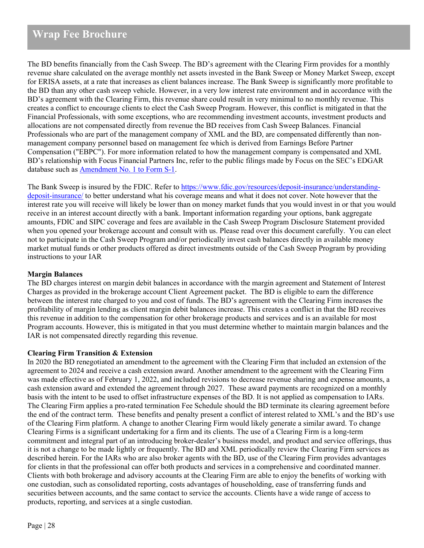The BD benefits financially from the Cash Sweep. The BD's agreement with the Clearing Firm provides for a monthly revenue share calculated on the average monthly net assets invested in the Bank Sweep or Money Market Sweep, except for ERISA assets, at a rate that increases as client balances increase. The Bank Sweep is significantly more profitable to the BD than any other cash sweep vehicle. However, in a very low interest rate environment and in accordance with the BD's agreement with the Clearing Firm, this revenue share could result in very minimal to no monthly revenue. This creates a conflict to encourage clients to elect the Cash Sweep Program. However, this conflict is mitigated in that the Financial Professionals, with some exceptions, who are recommending investment accounts, investment products and allocations are not compensated directly from revenue the BD receives from Cash Sweep Balances. Financial Professionals who are part of the management company of XML and the BD, are compensated differently than nonmanagement company personnel based on management fee which is derived from Earnings Before Partner Compensation ("EBPC"). For more information related to how the management company is compensated and XML BD's relationship with Focus Financial Partners Inc, refer to the public filings made by Focus on the SEC's EDGAR database such as [Amendment No. 1 to](https://www.sec.gov/Archives/edgar/data/1651052/000104746918004821/a2236026zs-1a.htm) Form S-1.

The Bank Sweep is insured by the FDIC. Refer t[o https://www.fdic.gov/resources/deposit-insurance/understanding](https://www.fdic.gov/resources/deposit-insurance/understanding-deposit-insurance/)[deposit-insurance/](https://www.fdic.gov/resources/deposit-insurance/understanding-deposit-insurance/) to better understand what his coverage means and what it does not cover. Note however that the interest rate you will receive will likely be lower than on money market funds that you would invest in or that you would receive in an interest account directly with a bank. Important information regarding your options, bank aggregate amounts, FDIC and SIPC coverage and fees are available in the Cash Sweep Program Disclosure Statement provided when you opened your brokerage account and consult with us. Please read over this document carefully. You can elect not to participate in the Cash Sweep Program and/or periodically invest cash balances directly in available money market mutual funds or other products offered as direct investments outside of the Cash Sweep Program by providing instructions to your IAR

### **Margin Balances**

The BD charges interest on margin debit balances in accordance with the margin agreement and Statement of Interest Charges as provided in the brokerage account Client Agreement packet. The BD is eligible to earn the difference between the interest rate charged to you and cost of funds. The BD's agreement with the Clearing Firm increases the profitability of margin lending as client margin debit balances increase. This creates a conflict in that the BD receives this revenue in addition to the compensation for other brokerage products and services and is an available for most Program accounts. However, this is mitigated in that you must determine whether to maintain margin balances and the IAR is not compensated directly regarding this revenue.

#### **Clearing Firm Transition & Extension**

In 2020 the BD renegotiated an amendment to the agreement with the Clearing Firm that included an extension of the agreement to 2024 and receive a cash extension award. Another amendment to the agreement with the Clearing Firm was made effective as of February 1, 2022, and included revisions to decrease revenue sharing and expense amounts, a cash extension award and extended the agreement through 2027. These award payments are recognized on a monthly basis with the intent to be used to offset infrastructure expenses of the BD. It is not applied as compensation to IARs. The Clearing Firm applies a pro-rated termination Fee Schedule should the BD terminate its clearing agreement before the end of the contract term. These benefits and penalty present a conflict of interest related to XML's and the BD's use of the Clearing Firm platform. A change to another Clearing Firm would likely generate a similar award. To change Clearing Firms is a significant undertaking for a firm and its clients. The use of a Clearing Firm is a long-term commitment and integral part of an introducing broker-dealer's business model, and product and service offerings, thus it is not a change to be made lightly or frequently. The BD and XML periodically review the Clearing Firm services as described herein. For the IARs who are also broker agents with the BD, use of the Clearing Firm provides advantages for clients in that the professional can offer both products and services in a comprehensive and coordinated manner. Clients with both brokerage and advisory accounts at the Clearing Firm are able to enjoy the benefits of working with one custodian, such as consolidated reporting, costs advantages of householding, ease of transferring funds and securities between accounts, and the same contact to service the accounts. Clients have a wide range of access to products, reporting, and services at a single custodian.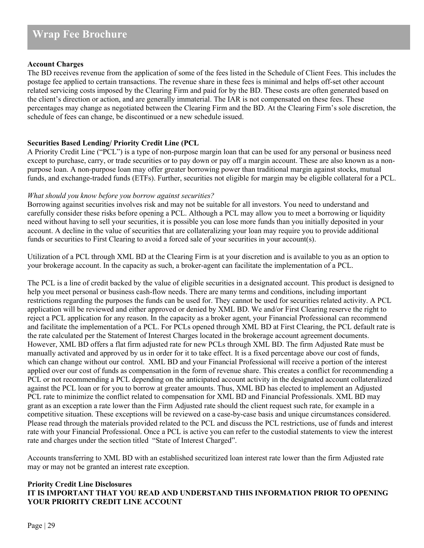### **Account Charges**

The BD receives revenue from the application of some of the fees listed in the Schedule of Client Fees. This includes the postage fee applied to certain transactions. The revenue share in these fees is minimal and helps off-set other account related servicing costs imposed by the Clearing Firm and paid for by the BD. These costs are often generated based on the client's direction or action, and are generally immaterial. The IAR is not compensated on these fees. These percentages may change as negotiated between the Clearing Firm and the BD. At the Clearing Firm's sole discretion, the schedule of fees can change, be discontinued or a new schedule issued.

# **Securities Based Lending/ Priority Credit Line (PCL**

A Priority Credit Line ("PCL") is a type of non-purpose margin loan that can be used for any personal or business need except to purchase, carry, or trade securities or to pay down or pay off a margin account. These are also known as a nonpurpose loan. A non-purpose loan may offer greater borrowing power than traditional margin against stocks, mutual funds, and exchange-traded funds (ETFs). Further, securities not eligible for margin may be eligible collateral for a PCL.

#### *What should you know before you borrow against securities?*

Borrowing against securities involves risk and may not be suitable for all investors. You need to understand and carefully consider these risks before opening a PCL. Although a PCL may allow you to meet a borrowing or liquidity need without having to sell your securities, it is possible you can lose more funds than you initially deposited in your account. A decline in the value of securities that are collateralizing your loan may require you to provide additional funds or securities to First Clearing to avoid a forced sale of your securities in your account(s).

Utilization of a PCL through XML BD at the Clearing Firm is at your discretion and is available to you as an option to your brokerage account. In the capacity as such, a broker-agent can facilitate the implementation of a PCL.

The PCL is a line of credit backed by the value of eligible securities in a designated account. This product is designed to help you meet personal or business cash-flow needs. There are many terms and conditions, including important restrictions regarding the purposes the funds can be used for. They cannot be used for securities related activity. A PCL application will be reviewed and either approved or denied by XML BD. We and/or First Clearing reserve the right to reject a PCL application for any reason. In the capacity as a broker agent, your Financial Professional can recommend and facilitate the implementation of a PCL. For PCLs opened through XML BD at First Clearing, the PCL default rate is the rate calculated per the Statement of Interest Charges located in the brokerage account agreement documents. However, XML BD offers a flat firm adjusted rate for new PCLs through XML BD. The firm Adjusted Rate must be manually activated and approved by us in order for it to take effect. It is a fixed percentage above our cost of funds, which can change without our control. XML BD and your Financial Professional will receive a portion of the interest applied over our cost of funds as compensation in the form of revenue share. This creates a conflict for recommending a PCL or not recommending a PCL depending on the anticipated account activity in the designated account collateralized against the PCL loan or for you to borrow at greater amounts. Thus, XML BD has elected to implement an Adjusted PCL rate to minimize the conflict related to compensation for XML BD and Financial Professionals. XML BD may grant as an exception a rate lower than the Firm Adjusted rate should the client request such rate, for example in a competitive situation. These exceptions will be reviewed on a case-by-case basis and unique circumstances considered. Please read through the materials provided related to the PCL and discuss the PCL restrictions, use of funds and interest rate with your Financial Professional. Once a PCL is active you can refer to the custodial statements to view the interest rate and charges under the section titled "State of Interest Charged".

Accounts transferring to XML BD with an established securitized loan interest rate lower than the firm Adjusted rate may or may not be granted an interest rate exception.

# **Priority Credit Line Disclosures IT IS IMPORTANT THAT YOU READ AND UNDERSTAND THIS INFORMATION PRIOR TO OPENING YOUR PRIORITY CREDIT LINE ACCOUNT**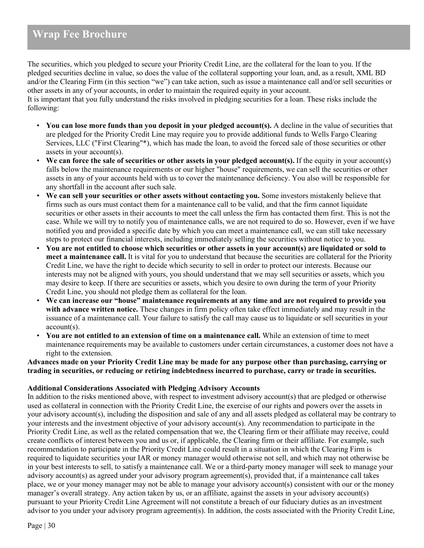The securities, which you pledged to secure your Priority Credit Line, are the collateral for the loan to you. If the pledged securities decline in value, so does the value of the collateral supporting your loan, and, as a result, XML BD and/or the Clearing Firm (in this section "we") can take action, such as issue a maintenance call and/or sell securities or other assets in any of your accounts, in order to maintain the required equity in your account. It is important that you fully understand the risks involved in pledging securities for a loan. These risks include the following:

- **You can lose more funds than you deposit in your pledged account(s).** A decline in the value of securities that are pledged for the Priority Credit Line may require you to provide additional funds to Wells Fargo Clearing Services, LLC ("First Clearing"\*), which has made the loan, to avoid the forced sale of those securities or other assets in your account(s).
- **We can force the sale of securities or other assets in your pledged account(s).** If the equity in your account(s) falls below the maintenance requirements or our higher "house" requirements, we can sell the securities or other assets in any of your accounts held with us to cover the maintenance deficiency. You also will be responsible for any shortfall in the account after such sale.
- **We can sell your securities or other assets without contacting you.** Some investors mistakenly believe that firms such as ours must contact them for a maintenance call to be valid, and that the firm cannot liquidate securities or other assets in their accounts to meet the call unless the firm has contacted them first. This is not the case. While we will try to notify you of maintenance calls, we are not required to do so. However, even if we have notified you and provided a specific date by which you can meet a maintenance call, we can still take necessary steps to protect our financial interests, including immediately selling the securities without notice to you.
- **You are not entitled to choose which securities or other assets in your account(s) are liquidated or sold to meet a maintenance call.** It is vital for you to understand that because the securities are collateral for the Priority Credit Line, we have the right to decide which security to sell in order to protect our interests. Because our interests may not be aligned with yours, you should understand that we may sell securities or assets, which you may desire to keep. If there are securities or assets, which you desire to own during the term of your Priority Credit Line, you should not pledge them as collateral for the loan.
- **We can increase our "house" maintenance requirements at any time and are not required to provide you with advance written notice.** These changes in firm policy often take effect immediately and may result in the issuance of a maintenance call. Your failure to satisfy the call may cause us to liquidate or sell securities in your account(s).
- **You are not entitled to an extension of time on a maintenance call.** While an extension of time to meet maintenance requirements may be available to customers under certain circumstances, a customer does not have a right to the extension.

### **Advances made on your Priority Credit Line may be made for any purpose other than purchasing, carrying or trading in securities, or reducing or retiring indebtedness incurred to purchase, carry or trade in securities.**

# **Additional Considerations Associated with Pledging Advisory Accounts**

In addition to the risks mentioned above, with respect to investment advisory account(s) that are pledged or otherwise used as collateral in connection with the Priority Credit Line, the exercise of our rights and powers over the assets in your advisory account(s), including the disposition and sale of any and all assets pledged as collateral may be contrary to your interests and the investment objective of your advisory account(s). Any recommendation to participate in the Priority Credit Line, as well as the related compensation that we, the Clearing firm or their affiliate may receive, could create conflicts of interest between you and us or, if applicable, the Clearing firm or their affiliate. For example, such recommendation to participate in the Priority Credit Line could result in a situation in which the Clearing Firm is required to liquidate securities your IAR or money manager would otherwise not sell, and which may not otherwise be in your best interests to sell, to satisfy a maintenance call. We or a third-party money manager will seek to manage your advisory account(s) as agreed under your advisory program agreement(s), provided that, if a maintenance call takes place, we or your money manager may not be able to manage your advisory account(s) consistent with our or the money manager's overall strategy. Any action taken by us, or an affiliate, against the assets in your advisory account(s) pursuant to your Priority Credit Line Agreement will not constitute a breach of our fiduciary duties as an investment advisor to you under your advisory program agreement(s). In addition, the costs associated with the Priority Credit Line,